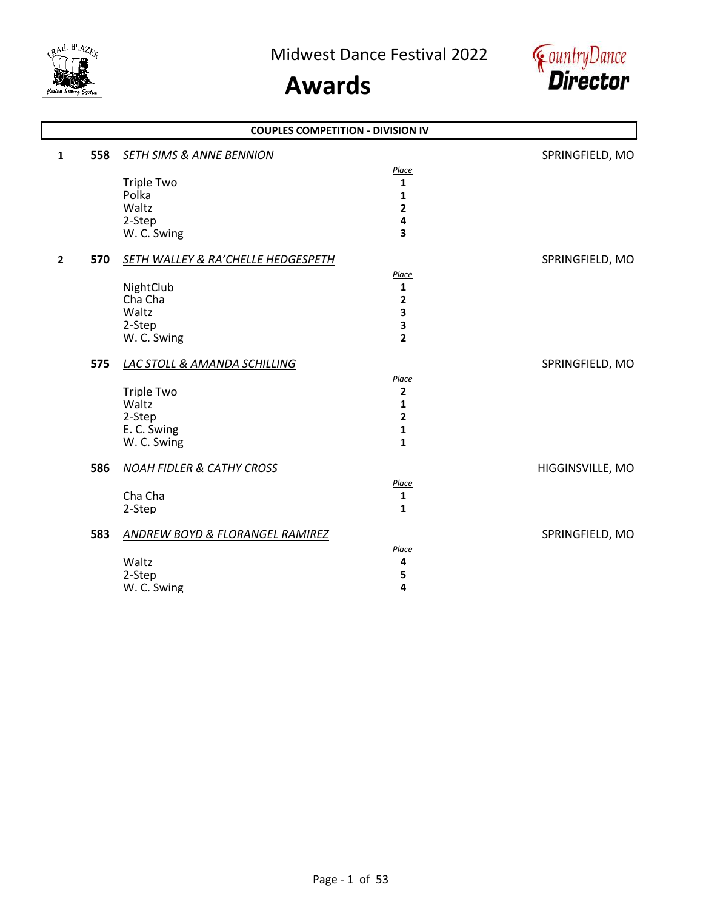

# **Awards**



|                       |                                               | <b>COUPLES COMPETITION - DIVISION IV</b> |                  |
|-----------------------|-----------------------------------------------|------------------------------------------|------------------|
| 558<br>$\mathbf{1}$   | <b>SETH SIMS &amp; ANNE BENNION</b>           |                                          | SPRINGFIELD, MO  |
|                       |                                               | Place                                    |                  |
|                       | <b>Triple Two</b>                             | $\mathbf{1}$                             |                  |
|                       | Polka                                         | $\mathbf{1}$                             |                  |
|                       | Waltz                                         | $\overline{\mathbf{2}}$                  |                  |
|                       | 2-Step                                        | 4                                        |                  |
|                       | W. C. Swing                                   | 3                                        |                  |
| 570<br>$\overline{2}$ | <b>SETH WALLEY &amp; RA'CHELLE HEDGESPETH</b> |                                          | SPRINGFIELD, MO  |
|                       |                                               | Place                                    |                  |
|                       | NightClub                                     | 1                                        |                  |
|                       | Cha Cha                                       | $\overline{2}$                           |                  |
|                       | Waltz                                         | 3                                        |                  |
|                       | 2-Step                                        | 3                                        |                  |
|                       | W. C. Swing                                   | $\overline{2}$                           |                  |
| 575                   | <b>LAC STOLL &amp; AMANDA SCHILLING</b>       |                                          | SPRINGFIELD, MO  |
|                       |                                               | Place                                    |                  |
|                       | <b>Triple Two</b>                             | $\mathbf{2}$                             |                  |
|                       | Waltz                                         | 1                                        |                  |
|                       | 2-Step                                        | $\overline{2}$                           |                  |
|                       | E. C. Swing                                   | 1                                        |                  |
|                       | W. C. Swing                                   | $\mathbf{1}$                             |                  |
| 586                   | <b>NOAH FIDLER &amp; CATHY CROSS</b>          |                                          | HIGGINSVILLE, MO |
|                       |                                               | Place                                    |                  |
|                       | Cha Cha                                       | 1                                        |                  |
|                       | 2-Step                                        | 1                                        |                  |
| 583                   | <b>ANDREW BOYD &amp; FLORANGEL RAMIREZ</b>    |                                          | SPRINGFIELD, MO  |
|                       |                                               | Place                                    |                  |
|                       | Waltz                                         | 4                                        |                  |
|                       | 2-Step                                        | 5                                        |                  |
|                       | W. C. Swing                                   | 4                                        |                  |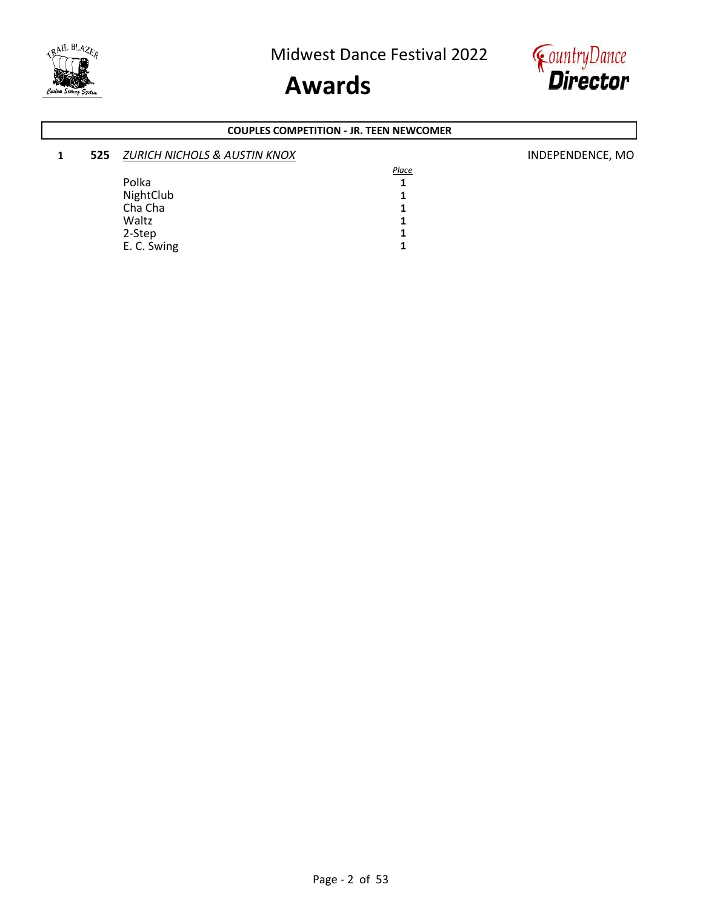



#### **COUPLES COMPETITION - JR. TEEN NEWCOMER**

| 525 | <b>ZURICH NICHOLS &amp; AUSTIN KNOX</b> |       | INDEPENDENCE, MO |
|-----|-----------------------------------------|-------|------------------|
|     |                                         | Place |                  |
|     | Polka                                   |       |                  |
|     | NightClub                               |       |                  |
|     | Cha Cha                                 |       |                  |
|     | Waltz                                   |       |                  |
|     | 2-Step                                  |       |                  |
|     | E. C. Swing                             |       |                  |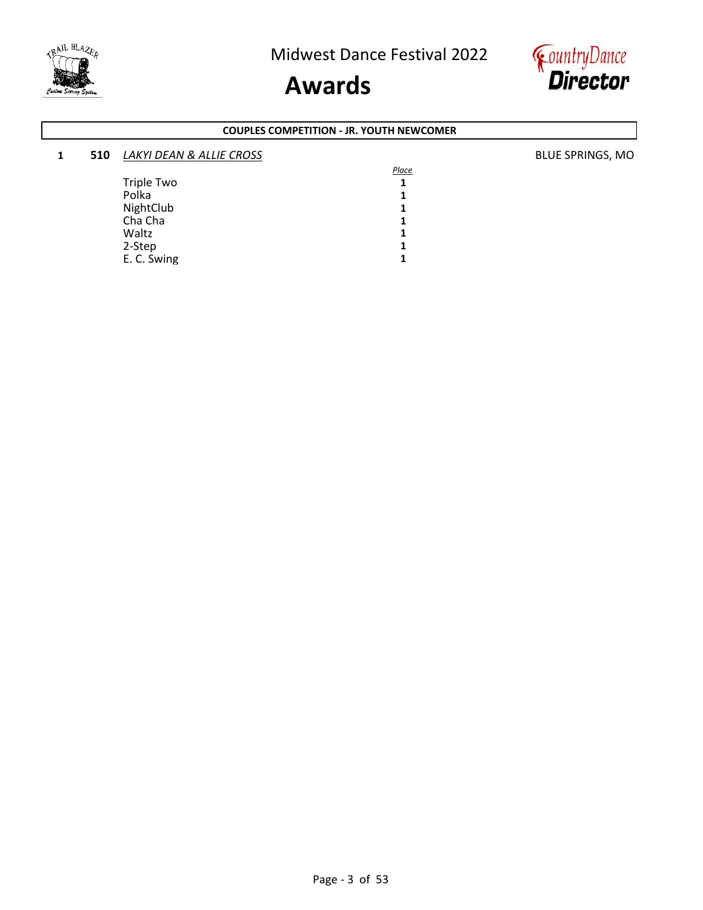



#### **COUPLES COMPETITION - JR. YOUTH NEWCOMER**

| 1 | 510 | LAKYI DEAN & ALLIE CROSS |       | <b>BLUE SPRINGS, MO</b> |
|---|-----|--------------------------|-------|-------------------------|
|   |     |                          | Place |                         |
|   |     | Triple Two               |       |                         |
|   |     | Polka                    |       |                         |
|   |     | NightClub                |       |                         |
|   |     | Cha Cha                  |       |                         |
|   |     | Waltz                    |       |                         |
|   |     | 2-Step                   |       |                         |
|   |     | E. C. Swing              |       |                         |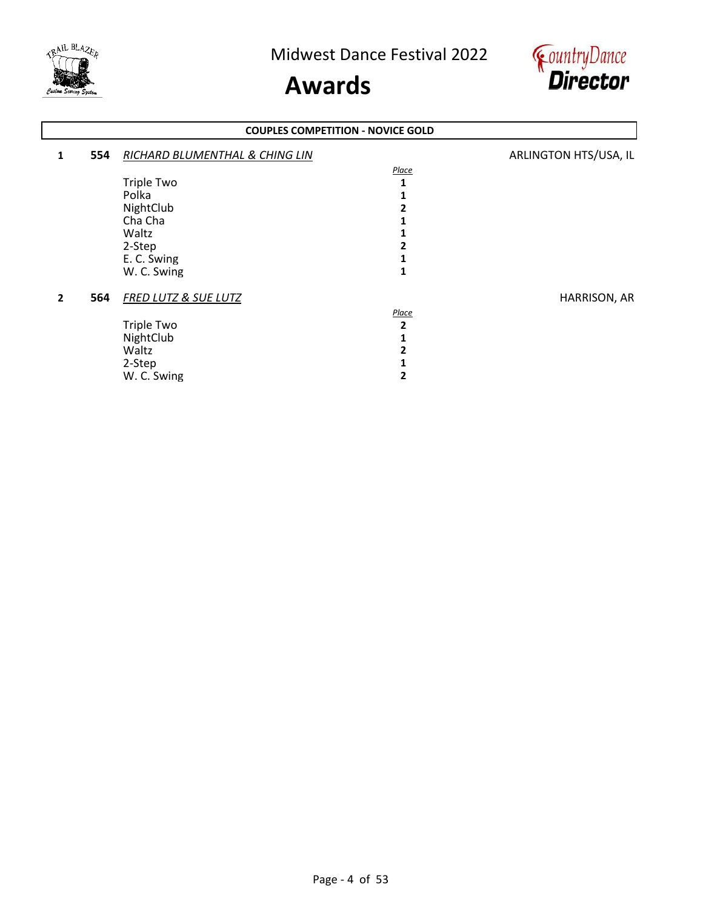



#### **1 554** *RICHARD BLUMENTHAL & CHING LIN* **ARLINGTON HTS/USA, IL** *Place* Triple Two **1**<br>Polka **1** Polka **1** NightClub 2<br>Cha Cha 1 Cha Cha **1**<br>
Waltz **1** Waltz **1** 2-Step 2<br>
E. C. Swing 1 E. C. Swing **1** W. C. Swing **2 564** *FRED LUTZ & SUE LUTZ* HARRISON, AR *Place* Triple Two **2** NightClub 1<br>Waltz 2 Waltz **2** 2-Step **1** W. C. Swing **2 COUPLES COMPETITION - NOVICE GOLD**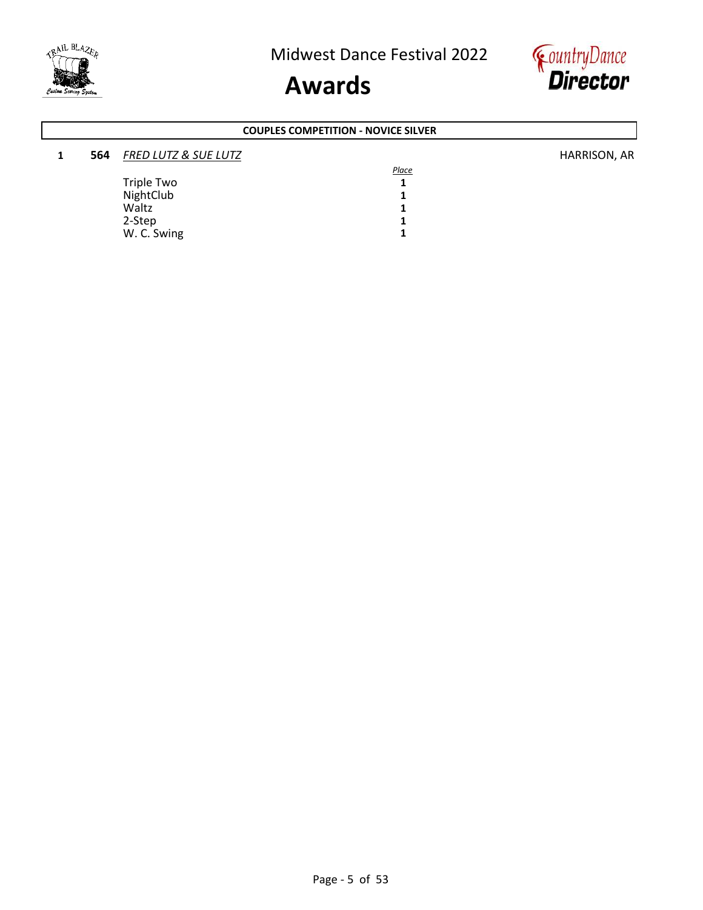



#### **1 564** *FRED LUTZ & SUE LUTZ* HARRISON, AR *Place* Triple Two 1<br>NightClub 1 NightClub 1<br>Waltz 1 Waltz **1** 2-Step 1<br>
W. C. Swing 1 W. C. Swing **COUPLES COMPETITION - NOVICE SILVER**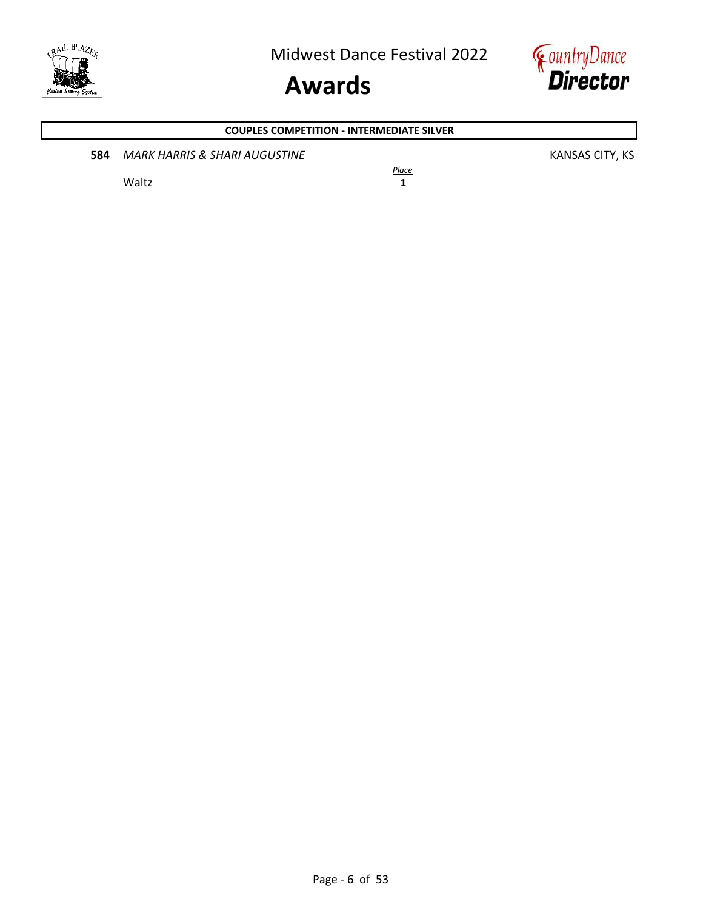



### **584 MARK HARRIS & SHARI AUGUSTINE KANSAS CITY, KS** *Place* Waltz **1 COUPLES COMPETITION - INTERMEDIATE SILVER**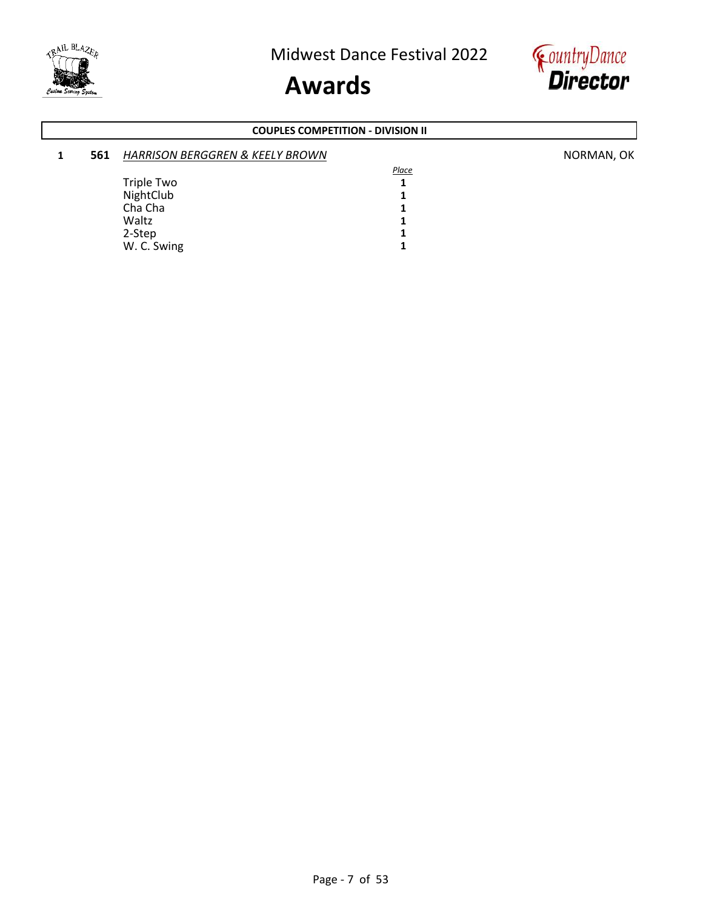



#### **COUPLES COMPETITION - DIVISION II**

| 561 | <b>HARRISON BERGGREN &amp; KEELY BROWN</b> |       | NORMAN, OK |
|-----|--------------------------------------------|-------|------------|
|     |                                            | Place |            |
|     | Triple Two                                 |       |            |
|     | NightClub                                  |       |            |
|     | Cha Cha                                    |       |            |
|     | Waltz                                      |       |            |
|     | 2-Step                                     |       |            |
|     | W. C. Swing                                |       |            |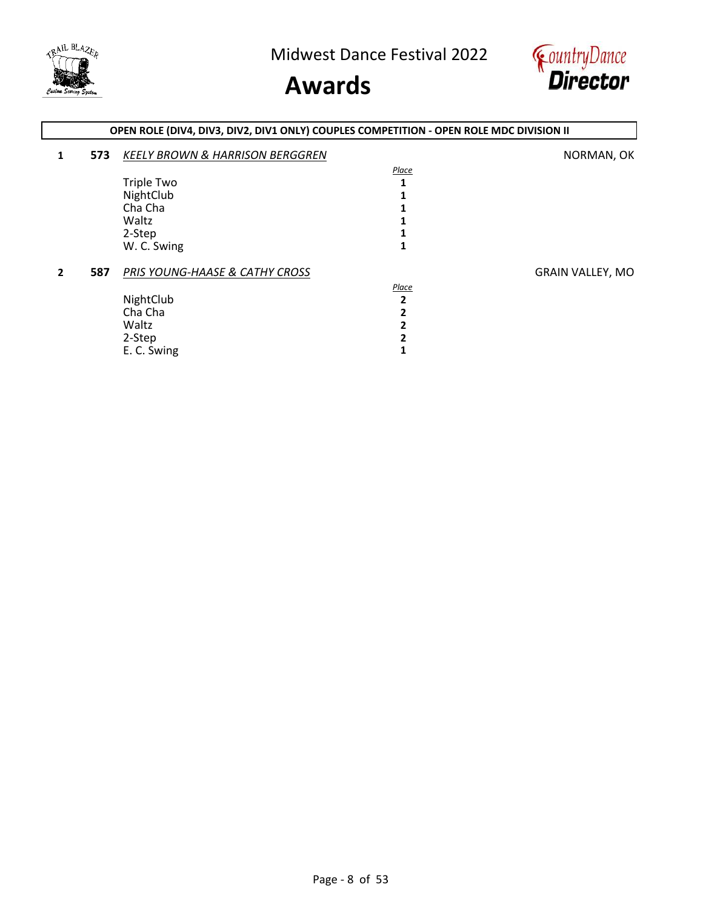

### **Awards**



### **1 573** *KEELY BROWN & HARRISON BERGGREN* NORMAN, OK *Place* Triple Two 1<br>NightClub 1 NightClub 1<br>Cha Cha 1 Cha Cha<br>Waltz Waltz **1** 2-Step 1<br>
W. C. Swing 1 W. C. Swing **2 587** *PRIS YOUNG-HAASE & CATHY CROSS* **GRAIN VALLEY, MO** *Place* NightClub **2**<br>Cha Cha **2** Cha Cha **2** Waltz **2** 2-Step 2<br>
E. C. Swing 1 E. C. Swing **1 OPEN ROLE (DIV4, DIV3, DIV2, DIV1 ONLY) COUPLES COMPETITION - OPEN ROLE MDC DIVISION II**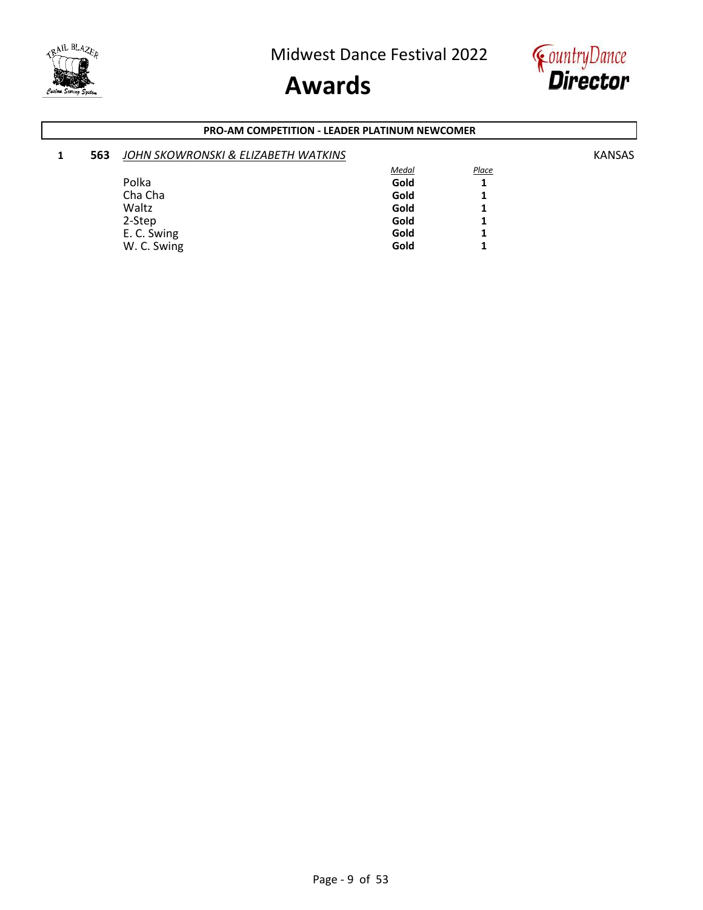



#### **PRO-AM COMPETITION - LEADER PLATINUM NEWCOMER**

| 1 | 563 | JOHN SKOWRONSKI & ELIZABETH WATKINS |              |       | <b>KANSAS</b> |
|---|-----|-------------------------------------|--------------|-------|---------------|
|   |     |                                     | <b>Medal</b> | Place |               |
|   |     | Polka                               | Gold         |       |               |
|   |     | Cha Cha                             | Gold         |       |               |
|   |     | Waltz                               | Gold         |       |               |
|   |     | 2-Step                              | Gold         |       |               |
|   |     | E. C. Swing                         | Gold         |       |               |
|   |     | W. C. Swing                         | Gold         |       |               |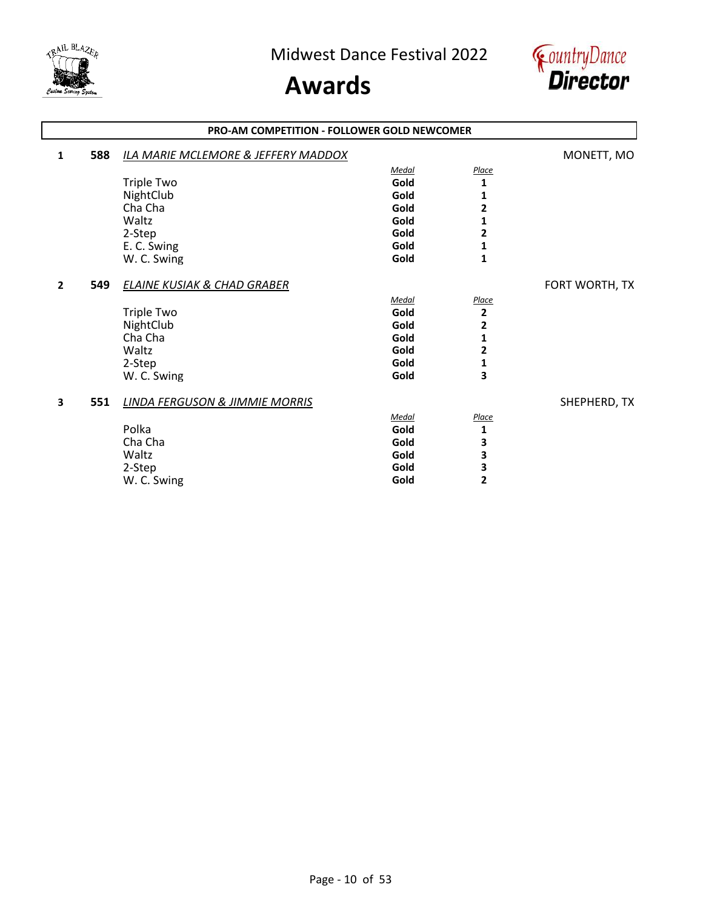



|                | <b>PRO-AM COMPETITION - FOLLOWER GOLD NEWCOMER</b> |                                                |       |              |                |
|----------------|----------------------------------------------------|------------------------------------------------|-------|--------------|----------------|
| 1              | 588                                                | <b>ILA MARIE MCLEMORE &amp; JEFFERY MADDOX</b> |       |              | MONETT, MO     |
|                |                                                    |                                                | Medal | Place        |                |
|                |                                                    | <b>Triple Two</b>                              | Gold  | 1            |                |
|                |                                                    | NightClub                                      | Gold  | 1            |                |
|                |                                                    | Cha Cha                                        | Gold  | 2            |                |
|                |                                                    | Waltz                                          | Gold  | 1            |                |
|                |                                                    | 2-Step                                         | Gold  | 2            |                |
|                |                                                    | E. C. Swing                                    | Gold  | 1            |                |
|                |                                                    | W. C. Swing                                    | Gold  | $\mathbf{1}$ |                |
| $\overline{2}$ | 549                                                | <b>ELAINE KUSIAK &amp; CHAD GRABER</b>         |       |              | FORT WORTH, TX |
|                |                                                    |                                                | Medal | Place        |                |
|                |                                                    | <b>Triple Two</b>                              | Gold  | $\mathbf{2}$ |                |
|                |                                                    | NightClub                                      | Gold  | 2            |                |
|                |                                                    | Cha Cha                                        | Gold  | 1            |                |
|                |                                                    | Waltz                                          | Gold  | 2            |                |
|                |                                                    | 2-Step                                         | Gold  | 1            |                |
|                |                                                    | W. C. Swing                                    | Gold  | 3            |                |
| 3              | 551                                                | <b>LINDA FERGUSON &amp; JIMMIE MORRIS</b>      |       |              | SHEPHERD, TX   |
|                |                                                    |                                                | Medal | Place        |                |
|                |                                                    | Polka                                          | Gold  | 1            |                |
|                |                                                    | Cha Cha                                        | Gold  | 3            |                |
|                |                                                    | Waltz                                          | Gold  | 3            |                |
|                |                                                    | 2-Step                                         | Gold  | З            |                |
|                |                                                    | W. C. Swing                                    | Gold  | 2            |                |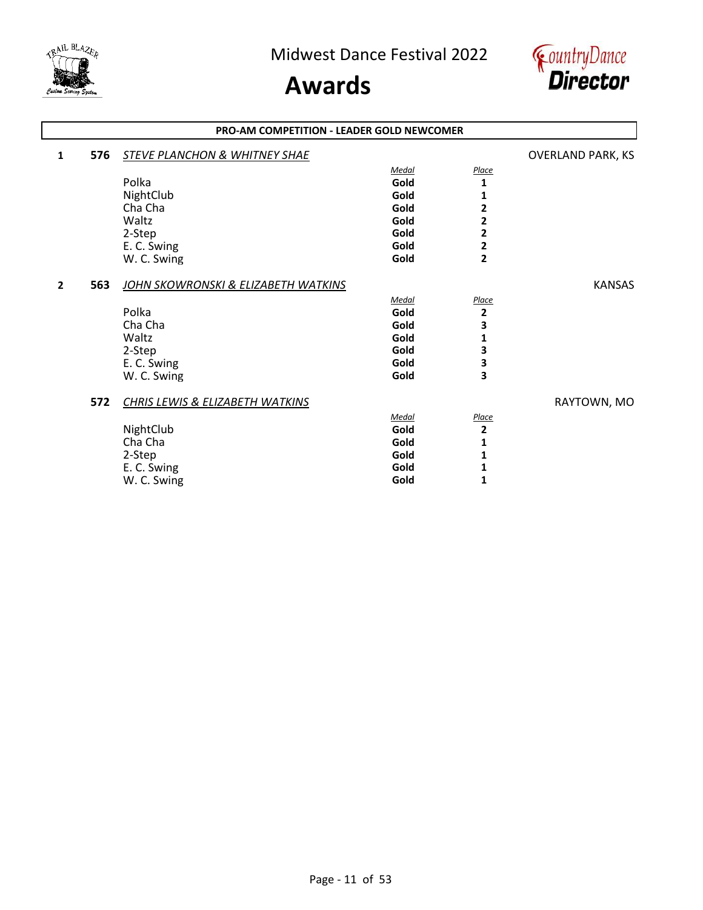



#### **PRO-AM COMPETITION - LEADER GOLD NEWCOMER**

| 1 | 576 | STEVE PLANCHON & WHITNEY SHAE       |       |                | <b>OVERLAND PARK, KS</b> |
|---|-----|-------------------------------------|-------|----------------|--------------------------|
|   |     |                                     | Medal | Place          |                          |
|   |     | Polka                               | Gold  | 1              |                          |
|   |     | NightClub                           | Gold  | 1              |                          |
|   |     | Cha Cha                             | Gold  | 2              |                          |
|   |     | Waltz                               | Gold  | 2              |                          |
|   |     | 2-Step                              | Gold  | 2              |                          |
|   |     | E. C. Swing                         | Gold  | 2              |                          |
|   |     | W. C. Swing                         | Gold  | $\overline{2}$ |                          |
| 2 | 563 | JOHN SKOWRONSKI & ELIZABETH WATKINS |       |                | <b>KANSAS</b>            |
|   |     |                                     | Medal | <b>Place</b>   |                          |
|   |     | Polka                               | Gold  | $\mathbf 2$    |                          |
|   |     | Cha Cha                             | Gold  | 3              |                          |
|   |     | Waltz                               | Gold  | 1              |                          |
|   |     | 2-Step                              | Gold  | 3              |                          |
|   |     | E. C. Swing                         | Gold  | З              |                          |
|   |     | W. C. Swing                         | Gold  | 3              |                          |
|   | 572 | CHRIS LEWIS & ELIZABETH WATKINS     |       |                | RAYTOWN, MO              |
|   |     |                                     | Medal | <b>Place</b>   |                          |
|   |     | NightClub                           | Gold  | 2              |                          |
|   |     | Cha Cha                             | Gold  | 1              |                          |
|   |     | 2-Step                              | Gold  | 1              |                          |
|   |     | E. C. Swing                         | Gold  | 1              |                          |
|   |     | W. C. Swing                         | Gold  | 1              |                          |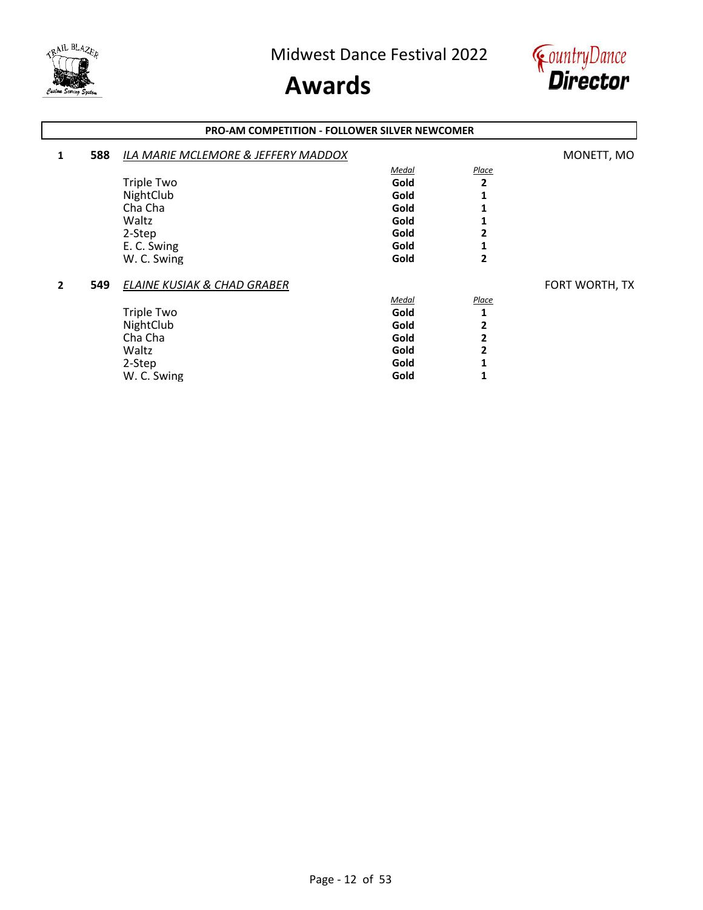



#### **1 588** *ILA MARIE MCLEMORE & JEFFERY MADDOX* MONETT, MO *Medal Place* Triple Two **Gold** 2<br>
NightClub **2**<br> **Cold** 5 NightClub **Gold** 1<br>
Cha Cha **1** Cha Cha **Gold 1** Waltz **Gold 1** 2-Step **Gold 2** E. C. Swing **Gold** 1 **C.** Swing **Gold** 2 W. C. Swing **2 549** *ELAINE KUSIAK & CHAD GRABER* **FORT WORTH, TX** *Medal Place* Triple Two **Gold** 1<br>
NightClub 2 NightClub **2**<br>
Cha Cha **2**<br>
Cha Cha **2** Cha Cha **Gold 2** Waltz **Gold 2** 2-Step **Gold 1** W. C. Swing **1 Gold 1 PRO-AM COMPETITION - FOLLOWER SILVER NEWCOMER**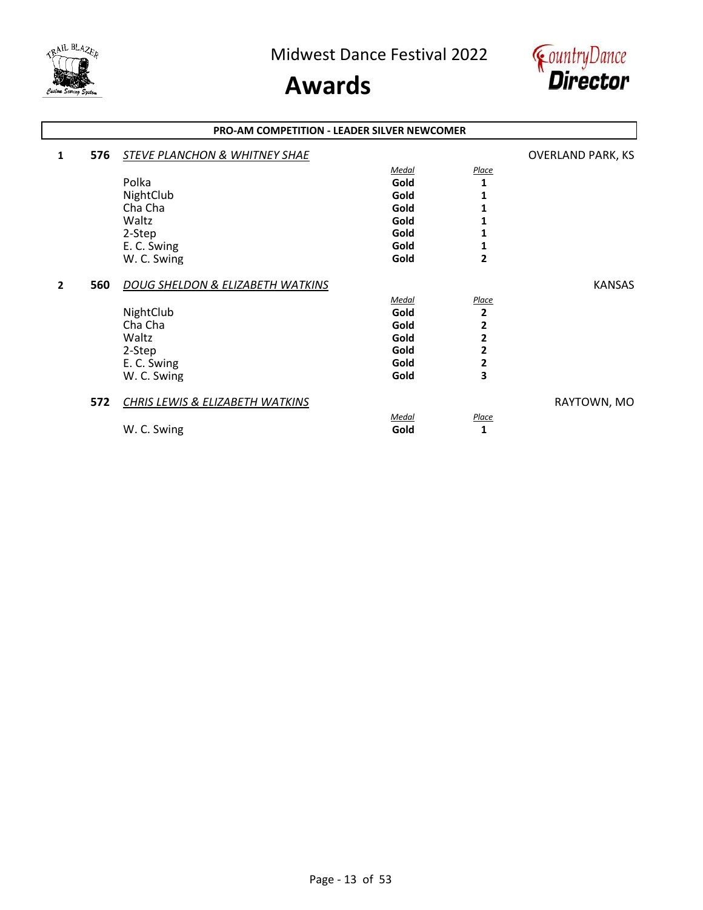



#### **PRO-AM COMPETITION - LEADER SILVER NEWCOMER**

| 1 | 576 | STEVE PLANCHON & WHITNEY SHAE    |       |                | <b>OVERLAND PARK, KS</b> |
|---|-----|----------------------------------|-------|----------------|--------------------------|
|   |     |                                  | Medal | Place          |                          |
|   |     | Polka                            | Gold  | 1              |                          |
|   |     | NightClub                        | Gold  | 1              |                          |
|   |     | Cha Cha                          | Gold  | 1              |                          |
|   |     | Waltz                            | Gold  | 1              |                          |
|   |     | 2-Step                           | Gold  | 1              |                          |
|   |     | E. C. Swing                      | Gold  | 1              |                          |
|   |     | W. C. Swing                      | Gold  | $\overline{2}$ |                          |
| 2 | 560 | DOUG SHELDON & ELIZABETH WATKINS |       |                | <b>KANSAS</b>            |
|   |     |                                  | Medal | Place          |                          |
|   |     | NightClub                        | Gold  | 2              |                          |
|   |     | Cha Cha                          | Gold  | 2              |                          |
|   |     | Waltz                            | Gold  | 2              |                          |
|   |     | 2-Step                           | Gold  | 2              |                          |
|   |     | E. C. Swing                      | Gold  | 2              |                          |
|   |     | W. C. Swing                      | Gold  | 3              |                          |
|   | 572 | CHRIS LEWIS & ELIZABETH WATKINS  |       |                | RAYTOWN, MO              |
|   |     |                                  | Medal | <b>Place</b>   |                          |
|   |     | W. C. Swing                      | Gold  | 1              |                          |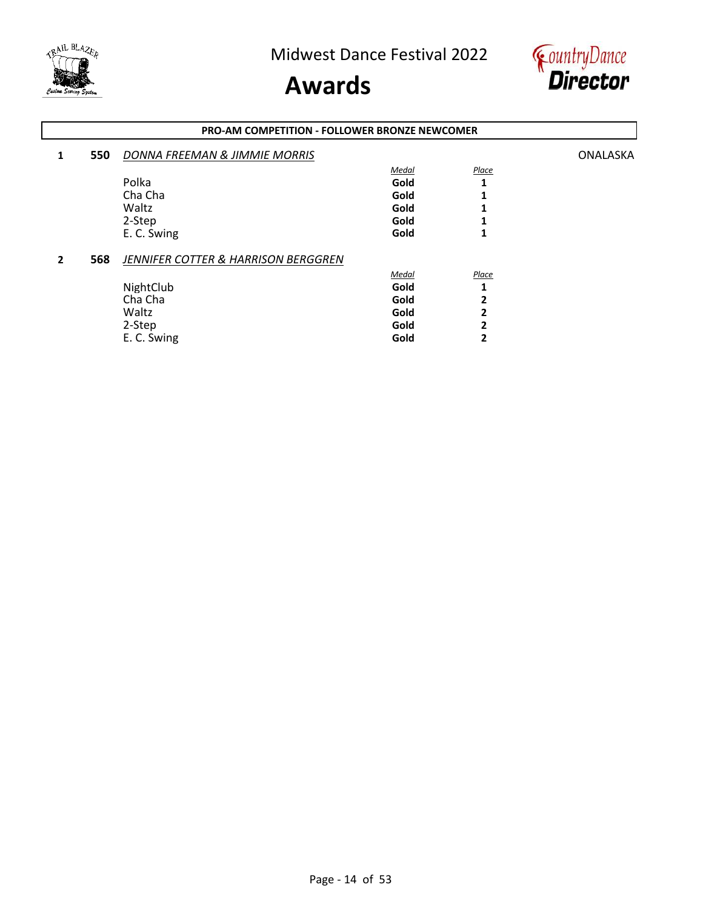



#### **1 550** *DONNA FREEMAN & JIMMIE MORRIS* ONALASKA *Medal Place* Polka **Gold 1** Cha Cha **Gold 1** Waltz **Gold 1** 2-Step **Gold 1** E. C. Swing **1 Gold 1 2 568** *JENNIFER COTTER & HARRISON BERGGREN Medal Place* NightClub **Gold** 1<br>
Cha Cha **1** Cha Cha **Gold 2** Waltz **Gold 2** 2-Step **Gold 2 PRO-AM COMPETITION - FOLLOWER BRONZE NEWCOMER**

E. C. Swing **Gold 2**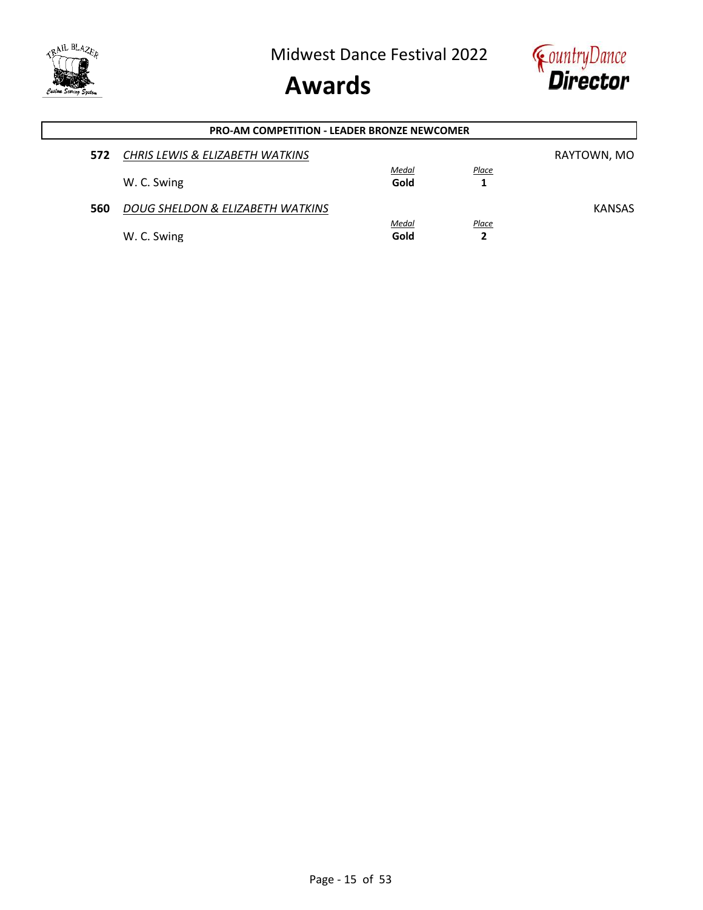

### **Awards**



| <b>PRO-AM COMPETITION - LEADER BRONZE NEWCOMER</b> |                                  |               |            |               |  |
|----------------------------------------------------|----------------------------------|---------------|------------|---------------|--|
| 572                                                | CHRIS LEWIS & ELIZABETH WATKINS  |               |            | RAYTOWN, MO   |  |
|                                                    | W. C. Swing                      | Medal<br>Gold | Place      |               |  |
|                                                    |                                  |               |            |               |  |
| 560                                                | DOUG SHELDON & ELIZABETH WATKINS |               |            | <b>KANSAS</b> |  |
|                                                    | W. C. Swing                      | Medal<br>Gold | Place<br>2 |               |  |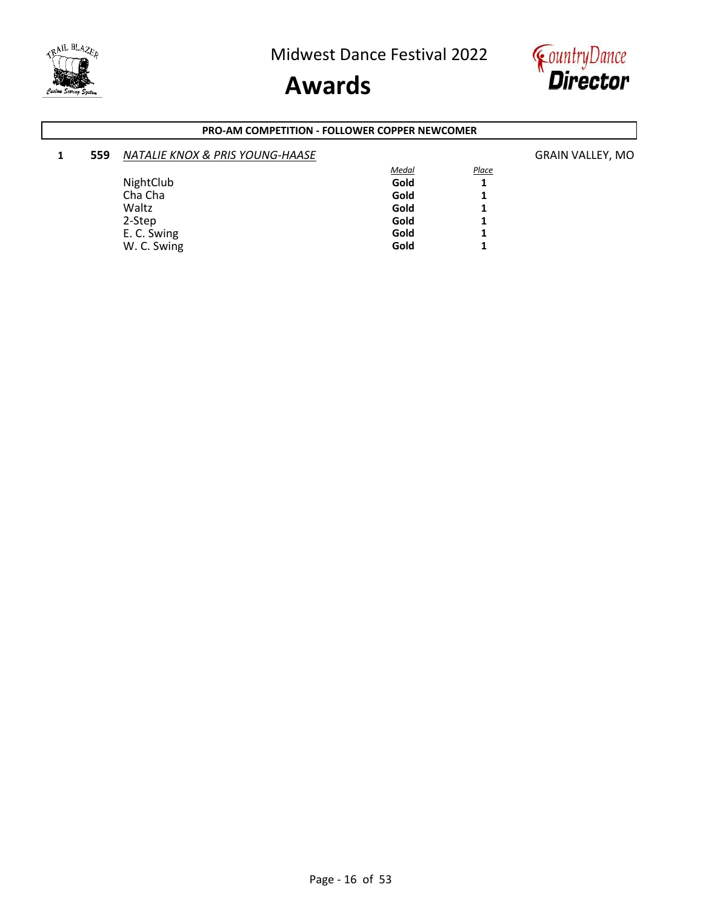



#### **PRO-AM COMPETITION - FOLLOWER COPPER NEWCOMER**

| 1 | 559 | <b>NATALIE KNOX &amp; PRIS YOUNG-HAASE</b> |              |       | <b>GRAIN VALLEY, MO</b> |
|---|-----|--------------------------------------------|--------------|-------|-------------------------|
|   |     |                                            | <b>Medal</b> | Place |                         |
|   |     | NightClub                                  | Gold         |       |                         |
|   |     | Cha Cha                                    | Gold         |       |                         |
|   |     | Waltz                                      | Gold         |       |                         |
|   |     | 2-Step                                     | Gold         |       |                         |
|   |     | E. C. Swing                                | Gold         |       |                         |
|   |     | W. C. Swing                                | Gold         |       |                         |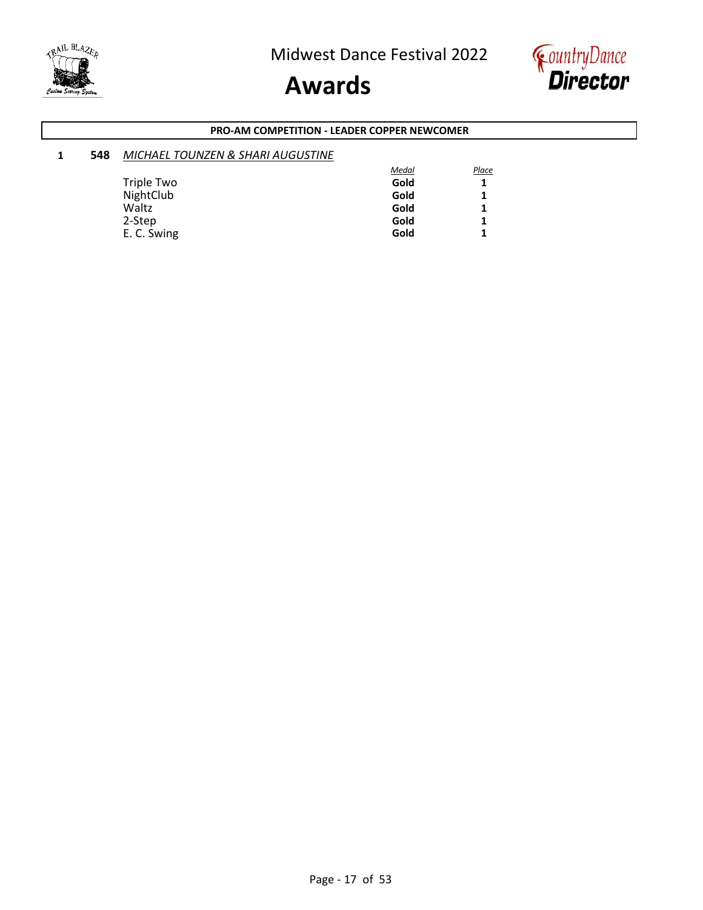





#### **PRO-AM COMPETITION - LEADER COPPER NEWCOMER**

| 548 | MICHAEL TOUNZEN & SHARI AUGUSTINE |              |              |
|-----|-----------------------------------|--------------|--------------|
|     |                                   | <b>Medal</b> | <b>Place</b> |
|     | Triple Two                        | Gold         | 1            |
|     | NightClub                         | Gold         |              |
|     | Waltz                             | Gold         | 1            |
|     | 2-Step                            | Gold         | 1            |
|     | E. C. Swing                       | Gold         |              |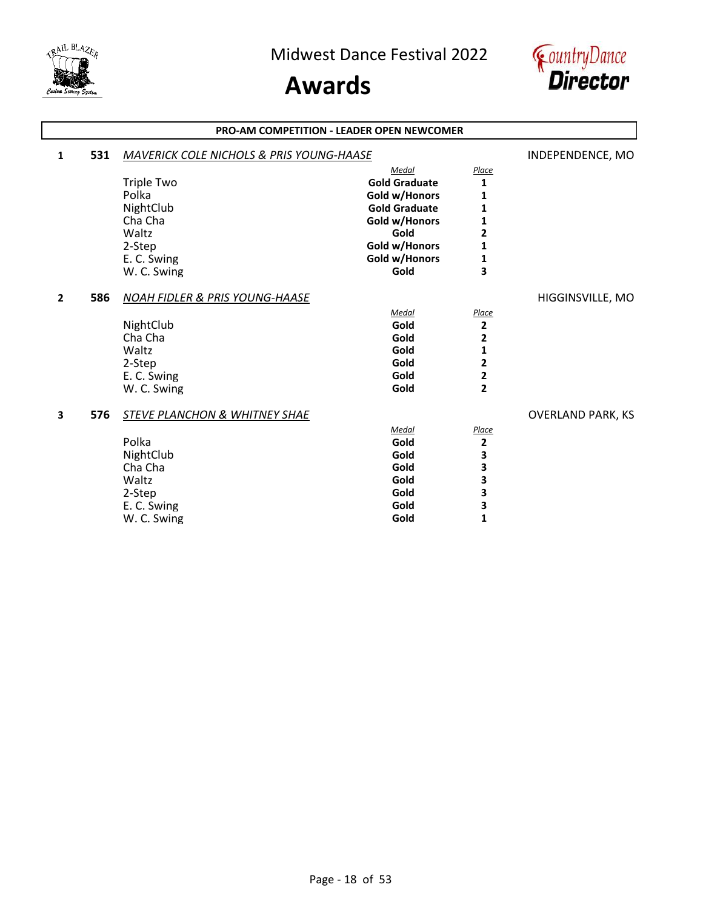

### **Awards**



#### **1 <b>531** *MAVERICK COLE NICHOLS & PRIS YOUNG-HAASE* **INDEPENDENCE, MO** *Medal Place* Triple Two **Gold Graduate** 1<br>Polka **1 Gold W/Honors** 1 Polka **1**<br> **1**<br> **1**<br> **NightClub Gold Graduate** 1 **NightClub Gold Graduate**<br> **1 Gold W/Honors**<br> **1 Gold w/Honors** Cha Cha **Gold w/Honors 1** Waltz **Gold 2** 2-Step **Gold w/Honors** 1<br>
E. C. Swing **1** E. Gold w/Honors **1**<br>Gold **1** W. C. Swing **2 586** *NOAH FIDLER & PRIS YOUNG-HAASE* HIGGINSVILLE, MO *Medal Place* NightClub **Character Collection Collection Collection** Character Collection Collection Collection 2<br> **Character Collection Collection Collection Collection Collection 2** Cha Cha **Gold 2** Waltz **Gold 1** 2-Step **Gold 2** E. C. Swing **Gold 2** W. C. Swing **3 576** *STEVE PLANCHON & WHITNEY SHAE* OVERLAND PARK, KS *Medal Place* Polka **Gold 2** NightClub **3**<br>
Cha Cha **3**<br>
Cha Cha **3** Cha Cha **Gold 3** Waltz **Gold 3** 2-Step **Gold 3** E. C. Swing **Gold** 5 and 5 and 5 and 5 and 5 and 5 and 5 and 5 and 5 and 5 and 5 and 5 and 5 and 5 and 5 and 5 and 5 and 5 and 5 and 5 and 5 and 5 and 5 and 5 and 5 and 5 and 5 and 5 and 5 and 5 and 5 and 5 and 5 and 5 and W. C. Swing **PRO-AM COMPETITION - LEADER OPEN NEWCOMER**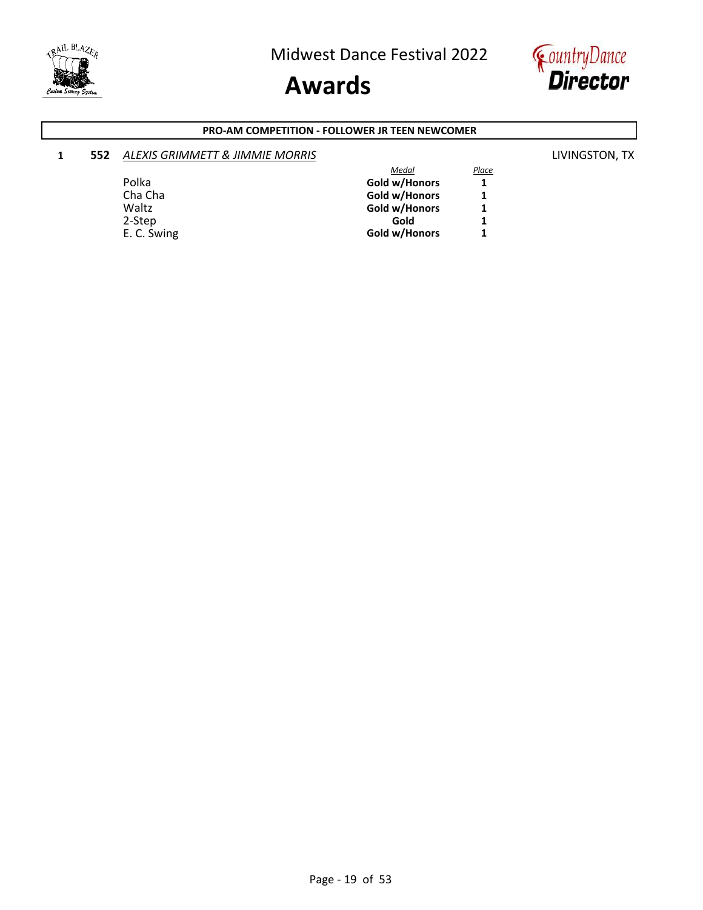

# **Awards**



#### **PRO-AM COMPETITION - FOLLOWER JR TEEN NEWCOMER**

#### **1 552** *ALEXIS GRIMMETT & JIMMIE MORRIS* LIVINGSTON, TX

|             | Medal         | Place |
|-------------|---------------|-------|
| Polka       | Gold w/Honors |       |
| Cha Cha     | Gold w/Honors |       |
| Waltz       | Gold w/Honors |       |
| 2-Step      | Gold          |       |
| E. C. Swing | Gold w/Honors |       |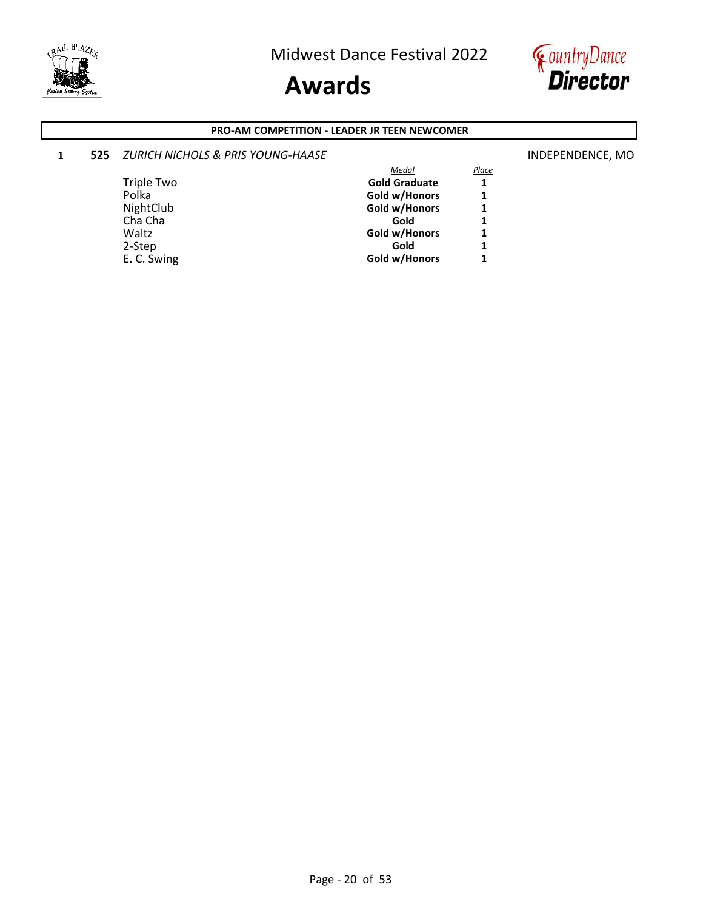

# **Awards**



#### **PRO-AM COMPETITION - LEADER JR TEEN NEWCOMER**

#### **1 525** *<u>ZURICH NICHOLS & PRIS YOUNG-HAASE</u>* **INDEPENDENCE, MO**

#### *Medal Place* Triple Two **Gold Graduate** 1<br>Polka **1 Gold W/Honors** 1 Polka **COLO 11 COLORATION** COLORATION COLORATIONS COLORATIONS 1<br>
COLORATION COLORATIONS 1 Gold w/Honors<br>Gold Cha Cha **Gold 1** Waltz<br>
2-Step **Gold w/Honors** 1<br>
2-Step **Gold** 1 2-Step **Gold 1** E. C. Swing **Gold w/Honors 1**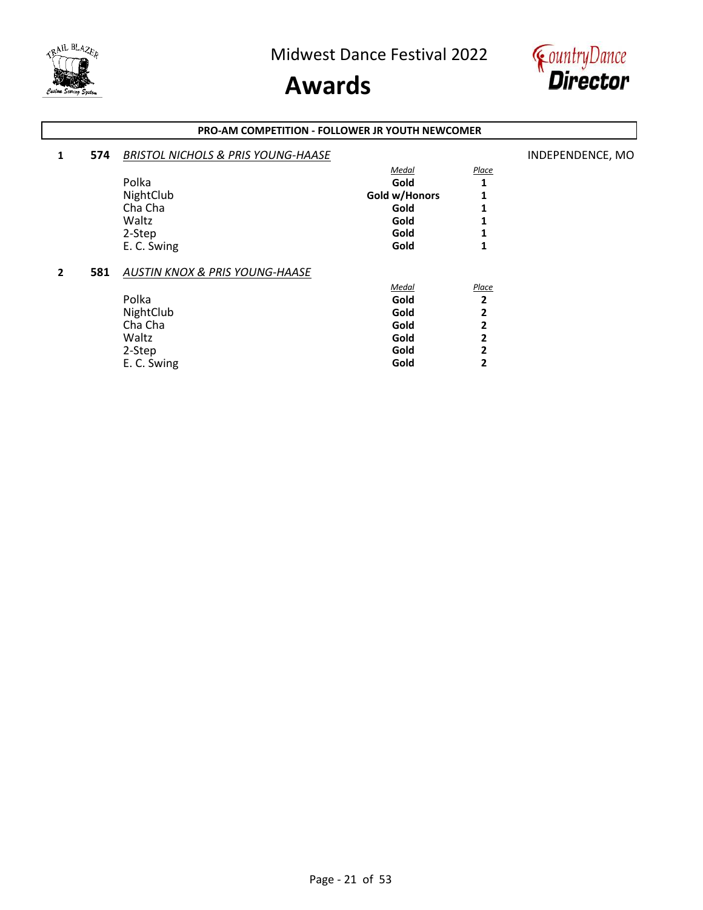

### **Awards**



#### **PRO-AM COMPETITION - FOLLOWER JR YOUTH NEWCOMER**

| 1 | 574 | <b>BRISTOL NICHOLS &amp; PRIS YOUNG-HAASE</b> |               |              | INDEPENDENCE, MO |
|---|-----|-----------------------------------------------|---------------|--------------|------------------|
|   |     |                                               | Medal         | Place        |                  |
|   |     | Polka                                         | Gold          |              |                  |
|   |     | NightClub                                     | Gold w/Honors |              |                  |
|   |     | Cha Cha                                       | Gold          |              |                  |
|   |     | Waltz                                         | Gold          |              |                  |
|   |     | 2-Step                                        | Gold          |              |                  |
|   |     | E. C. Swing                                   | Gold          | 1            |                  |
| 2 | 581 | <b>AUSTIN KNOX &amp; PRIS YOUNG-HAASE</b>     |               |              |                  |
|   |     |                                               | Medal         | Place        |                  |
|   |     | Polka                                         | Gold          | $\mathbf{2}$ |                  |
|   |     | NightClub                                     | Gold          | 2            |                  |
|   |     | Cha Cha                                       | Gold          | 2            |                  |
|   |     | Waltz                                         | Gold          | 2            |                  |
|   |     | 2-Step                                        | Gold          | 2            |                  |
|   |     | E. C. Swing                                   | Gold          | 2            |                  |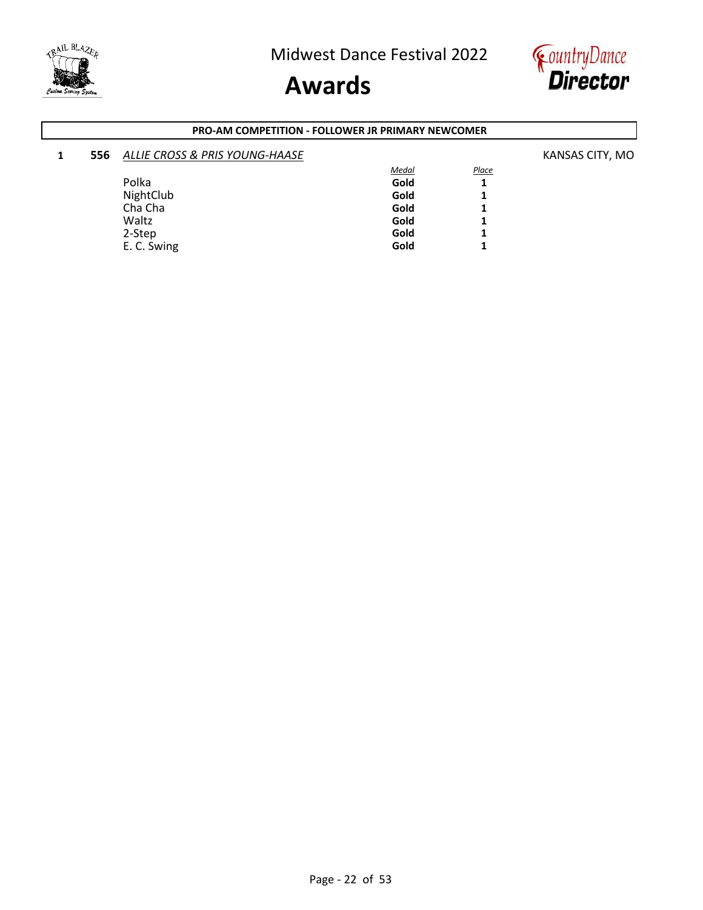



#### **PRO-AM COMPETITION - FOLLOWER JR PRIMARY NEWCOMER**

| 1 | 556 | <b>ALLIE CROSS &amp; PRIS YOUNG-HAASE</b> |              |       | KANSAS CITY, MO |
|---|-----|-------------------------------------------|--------------|-------|-----------------|
|   |     |                                           | <u>Medal</u> | Place |                 |
|   |     | Polka                                     | Gold         |       |                 |
|   |     | NightClub                                 | Gold         |       |                 |
|   |     | Cha Cha                                   | Gold         |       |                 |
|   |     | Waltz                                     | Gold         |       |                 |
|   |     | 2-Step                                    | Gold         |       |                 |
|   |     | E. C. Swing                               | Gold         |       |                 |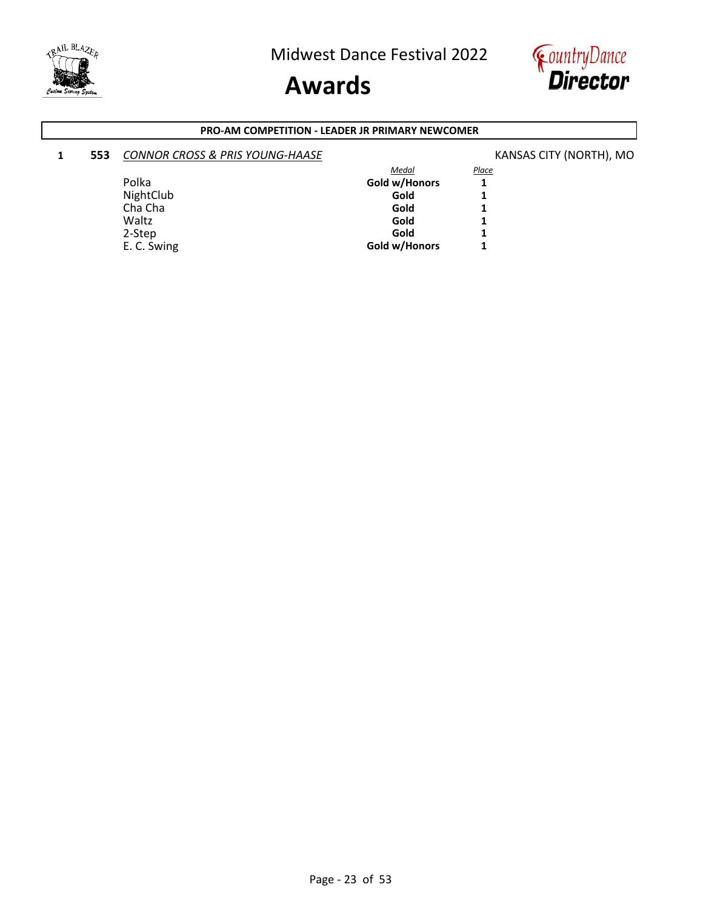

# **Awards**



#### **PRO-AM COMPETITION - LEADER JR PRIMARY NEWCOMER**

#### **1 553** *CONNOR CROSS & PRIS YOUNG-HAASE* **KANSAS CITY (NORTH)**, MO

|               | <b>Place</b> |
|---------------|--------------|
| Gold w/Honors |              |
| Gold          |              |
| Gold          |              |
| Gold          |              |
| Gold          |              |
| Gold w/Honors | 1            |
|               | Medal        |

Page - 23 of 53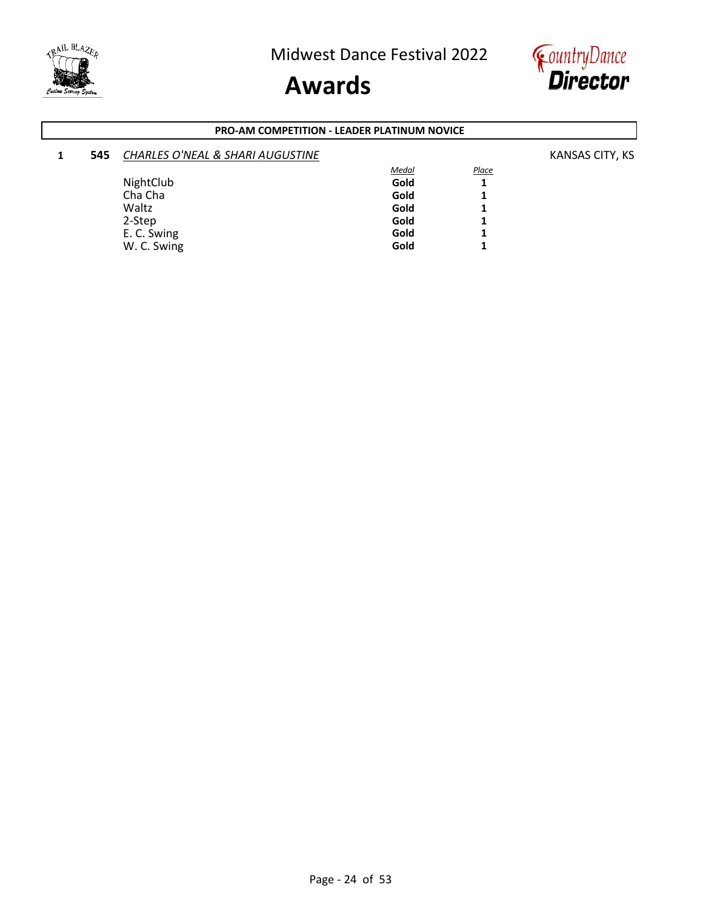



#### **PRO-AM COMPETITION - LEADER PLATINUM NOVICE**

| 545 | <b>CHARLES O'NEAL &amp; SHARI AUGUSTINE</b> |              |              | KANSAS CITY, KS |
|-----|---------------------------------------------|--------------|--------------|-----------------|
|     |                                             | <b>Medal</b> | <b>Place</b> |                 |
|     | NightClub                                   | Gold         |              |                 |
|     | Cha Cha                                     | Gold         |              |                 |
|     | Waltz                                       | Gold         |              |                 |
|     | 2-Step                                      | Gold         |              |                 |
|     | E. C. Swing                                 | Gold         |              |                 |
|     | W. C. Swing                                 | Gold         |              |                 |
|     |                                             |              |              |                 |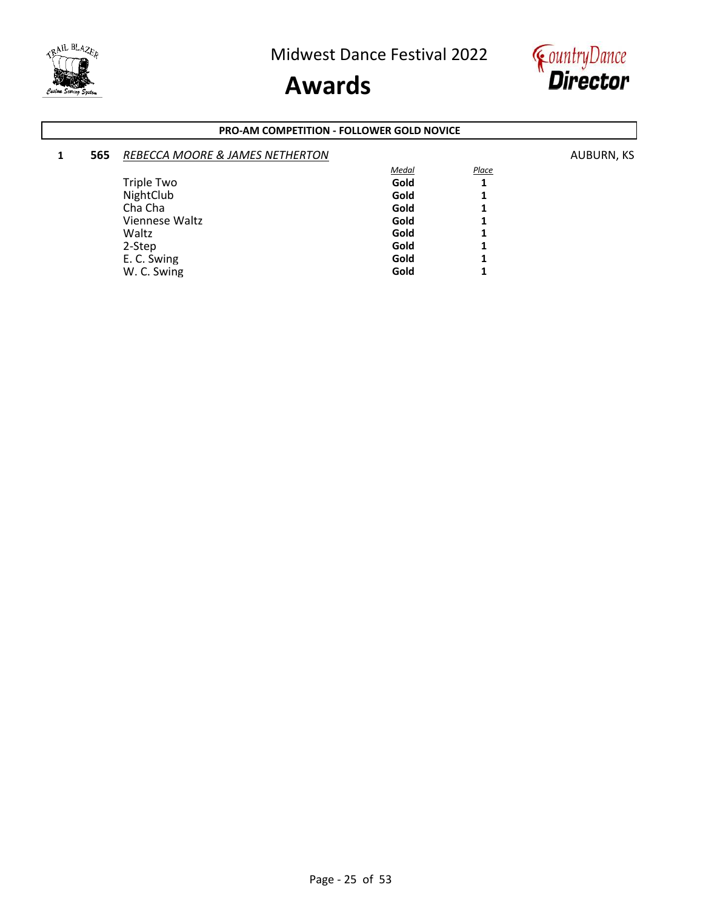



#### **PRO-AM COMPETITION - FOLLOWER GOLD NOVICE**

| 1 | 565 | <b>REBECCA MOORE &amp; JAMES NETHERTON</b> |              |       | AUBURN, KS |
|---|-----|--------------------------------------------|--------------|-------|------------|
|   |     |                                            | <b>Medal</b> | Place |            |
|   |     | <b>Triple Two</b>                          | Gold         |       |            |
|   |     | NightClub                                  | Gold         |       |            |
|   |     | Cha Cha                                    | Gold         |       |            |
|   |     | Viennese Waltz                             | Gold         |       |            |
|   |     | Waltz                                      | Gold         |       |            |
|   |     | 2-Step                                     | Gold         |       |            |
|   |     | E. C. Swing                                | Gold         |       |            |
|   |     | W. C. Swing                                | Gold         |       |            |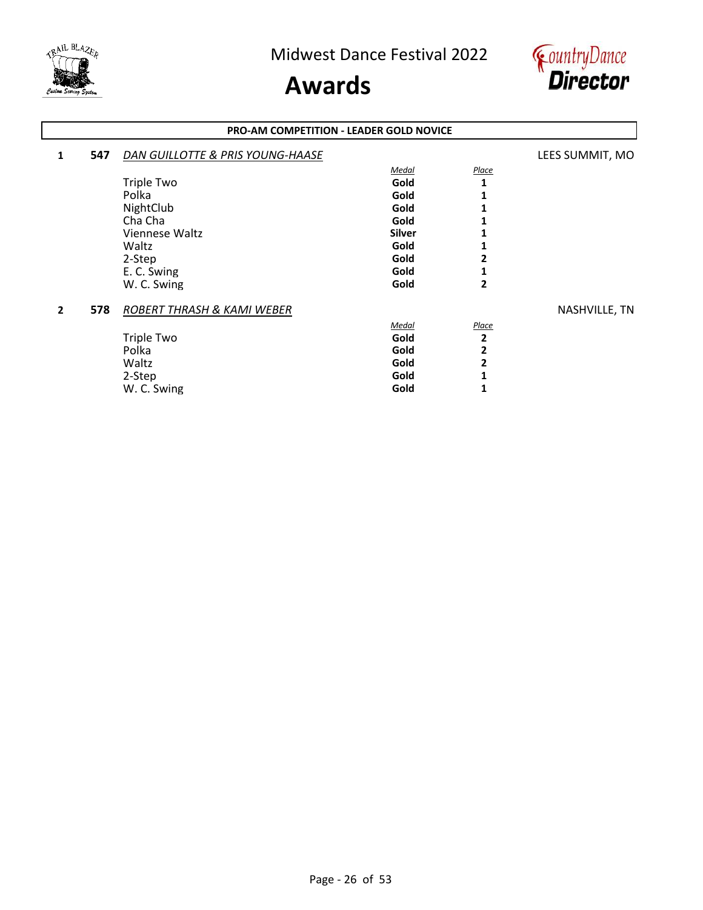



#### **PRO-AM COMPETITION - LEADER GOLD NOVICE**

| 1              | 547 | DAN GUILLOTTE & PRIS YOUNG-HAASE |               |                | LEES SUMMIT, MO |
|----------------|-----|----------------------------------|---------------|----------------|-----------------|
|                |     |                                  | Medal         | <b>Place</b>   |                 |
|                |     | <b>Triple Two</b>                | Gold          | 1              |                 |
|                |     | Polka                            | Gold          |                |                 |
|                |     | NightClub                        | Gold          |                |                 |
|                |     | Cha Cha                          | Gold          |                |                 |
|                |     | Viennese Waltz                   | <b>Silver</b> |                |                 |
|                |     | Waltz                            | Gold          |                |                 |
|                |     | 2-Step                           | Gold          | 2              |                 |
|                |     | E. C. Swing                      | Gold          |                |                 |
|                |     | W. C. Swing                      | Gold          | 2              |                 |
| $\overline{2}$ | 578 | ROBERT THRASH & KAMI WEBER       |               |                | NASHVILLE, TN   |
|                |     |                                  | Medal         | Place          |                 |
|                |     | <b>Triple Two</b>                | Gold          | $\overline{2}$ |                 |
|                |     | Polka                            | Gold          | 2              |                 |
|                |     | Waltz                            | Gold          | 2              |                 |
|                |     | 2-Step                           | Gold          |                |                 |
|                |     | W. C. Swing                      | Gold          |                |                 |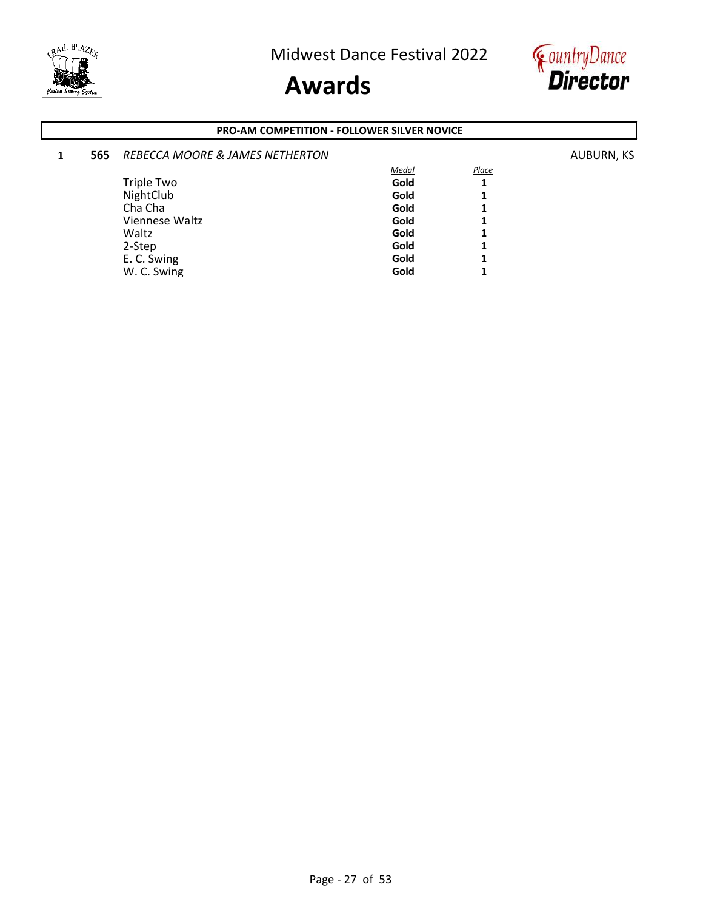



#### **PRO-AM COMPETITION - FOLLOWER SILVER NOVICE**

| 565 | REBECCA MOORE & JAMES NETHERTON |              |              | AUBURN, KS |
|-----|---------------------------------|--------------|--------------|------------|
|     |                                 | <b>Medal</b> | <b>Place</b> |            |
|     | Triple Two                      | Gold         | 1            |            |
|     | NightClub                       | Gold         | 1            |            |
|     | Cha Cha                         | Gold         | 1            |            |
|     | Viennese Waltz                  | Gold         | 1            |            |
|     | Waltz                           | Gold         | 1            |            |
|     | 2-Step                          | Gold         | 1            |            |
|     | E. C. Swing                     | Gold         | 1            |            |
|     | W. C. Swing                     | Gold         | 4            |            |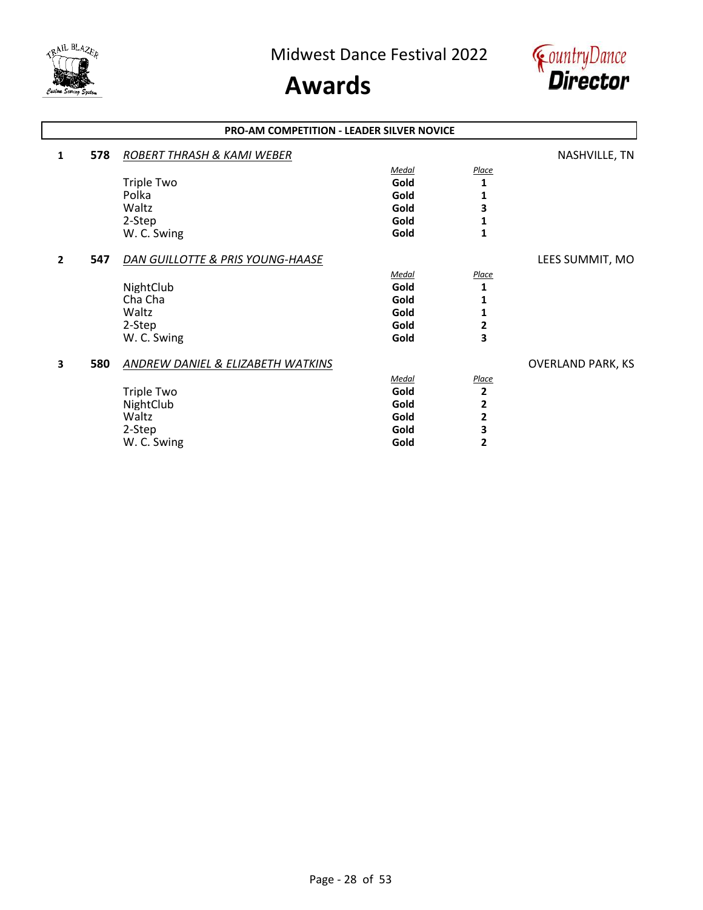



#### **1 578** *ROBERT THRASH & KAMI WEBER* NASHVILLE, TN *Medal Place* Triple Two **Gold** 1<br>Polka **1** Polka **Gold 1** Waltz **Gold 3** 2-Step **Gold 1** W. C. Swing **1 Gold 1 2 547** *DAN GUILLOTTE & PRIS YOUNG-HAASE* LEES SUMMIT, MO *Medal Place* NightClub **Gold** 1<br>
Cha Cha **1** Cha Cha **Gold 1** Waltz **Gold 1** 2-Step **Gold 2** W. C. Swing **Gold 3 3 580** *ANDREW DANIEL & ELIZABETH WATKINS* OVERLAND PARK, KS *Medal Place* Triple Two **Gold 2** NightClub **Gold 2** Waltz **Gold 2** 2-Step **Gold 3** W. C. Swing **Cold 2 PRO-AM COMPETITION - LEADER SILVER NOVICE**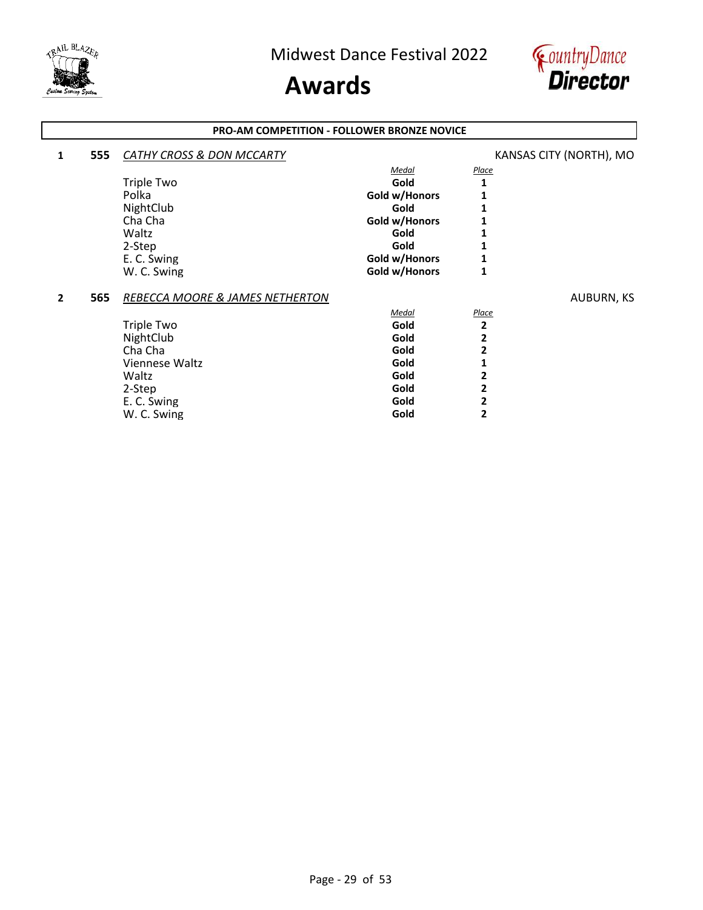

### **Awards**



#### **PRO-AM COMPETITION - FOLLOWER BRONZE NOVICE**

| 1            | 555 | CATHY CROSS & DON MCCARTY       |               |              | KANSAS CITY (NORTH), MO |
|--------------|-----|---------------------------------|---------------|--------------|-------------------------|
|              |     |                                 | <u>Medal</u>  | <u>Place</u> |                         |
|              |     | Triple Two                      | Gold          |              |                         |
|              |     | Polka                           | Gold w/Honors |              |                         |
|              |     | NightClub                       | Gold          |              |                         |
|              |     | Cha Cha                         | Gold w/Honors |              |                         |
|              |     | Waltz                           | Gold          |              |                         |
|              |     | 2-Step                          | Gold          |              |                         |
|              |     | E. C. Swing                     | Gold w/Honors |              |                         |
|              |     | W. C. Swing                     | Gold w/Honors |              |                         |
| $\mathbf{2}$ | 565 | REBECCA MOORE & JAMES NETHERTON |               |              | AUBURN, KS              |
|              |     |                                 | <b>Medal</b>  | <b>Place</b> |                         |
|              |     | <b>Triple Two</b>               | Gold          | 2            |                         |
|              |     | NightClub                       | Gold          |              |                         |
|              |     | Cha Cha                         | Gold          |              |                         |
|              |     | Viennese Waltz                  | Gold          |              |                         |
|              |     | Waltz                           | Gold          |              |                         |
|              |     | 2-Step                          | Gold          |              |                         |
|              |     | E. C. Swing                     | Gold          |              |                         |
|              |     | W. C. Swing                     | Gold          |              |                         |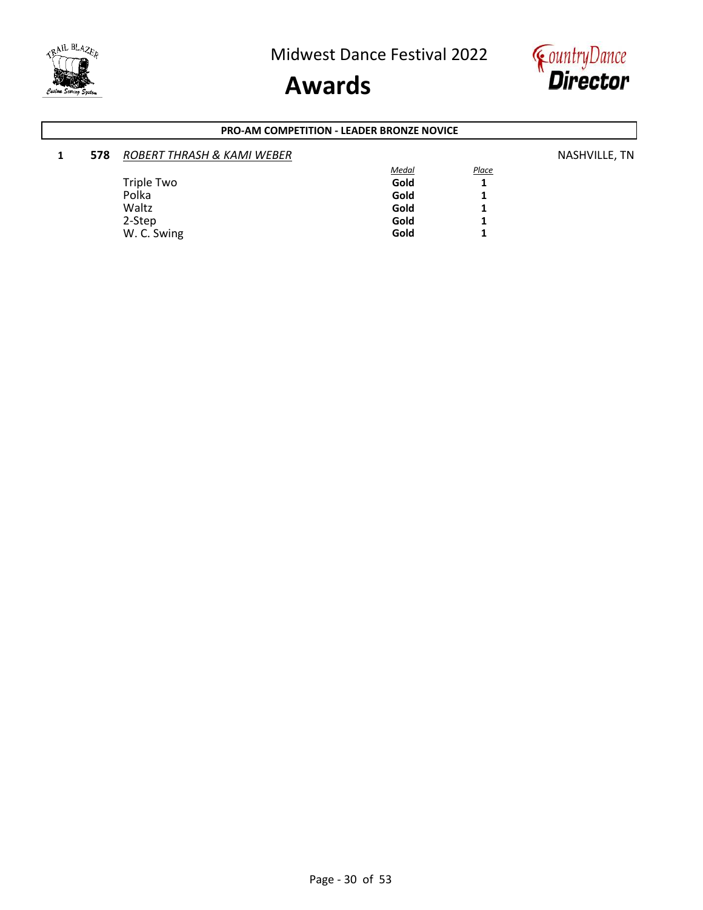



#### **PRO-AM COMPETITION - LEADER BRONZE NOVICE**

| 578 | <b>ROBERT THRASH &amp; KAMI WEBER</b> |              |              | NASHVILLE, TN |
|-----|---------------------------------------|--------------|--------------|---------------|
|     |                                       | <b>Medal</b> | <b>Place</b> |               |
|     | Triple Two                            | Gold         |              |               |
|     | Polka                                 | Gold         |              |               |
|     | Waltz                                 | Gold         |              |               |
|     | 2-Step                                | Gold         |              |               |
|     | W. C. Swing                           | Gold         |              |               |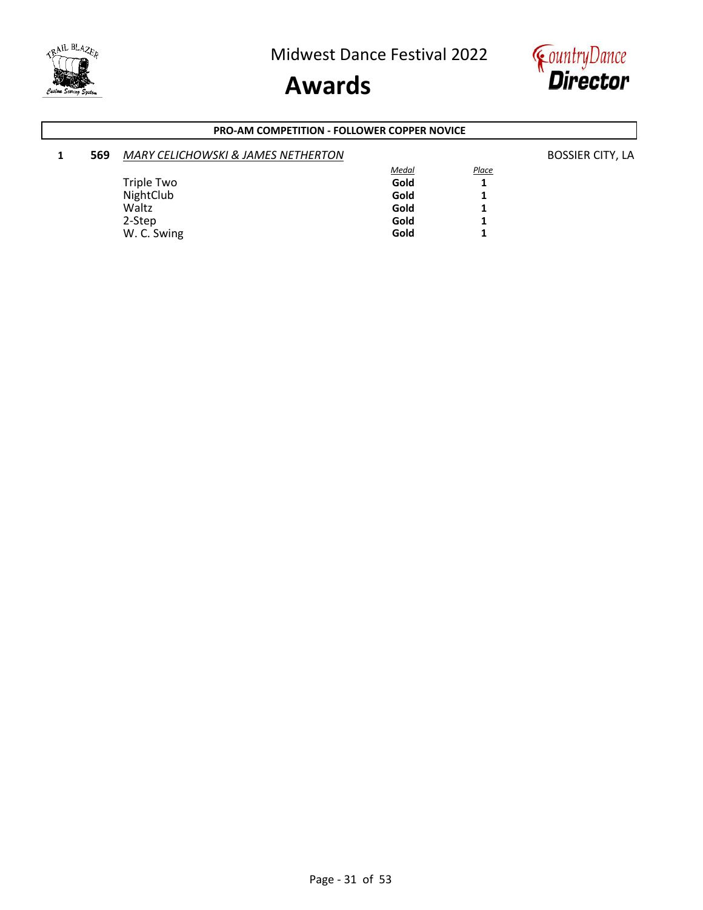



#### **PRO-AM COMPETITION - FOLLOWER COPPER NOVICE**

| 569 | <b>MARY CELICHOWSKI &amp; JAMES NETHERTON</b> |              |       | <b>BOSSIER CITY, LA</b> |
|-----|-----------------------------------------------|--------------|-------|-------------------------|
|     |                                               | <u>Medal</u> | Place |                         |
|     | Triple Two                                    | Gold         |       |                         |
|     | NightClub                                     | Gold         |       |                         |
|     | Waltz                                         | Gold         |       |                         |
|     | 2-Step                                        | Gold         |       |                         |
|     | W. C. Swing                                   | Gold         |       |                         |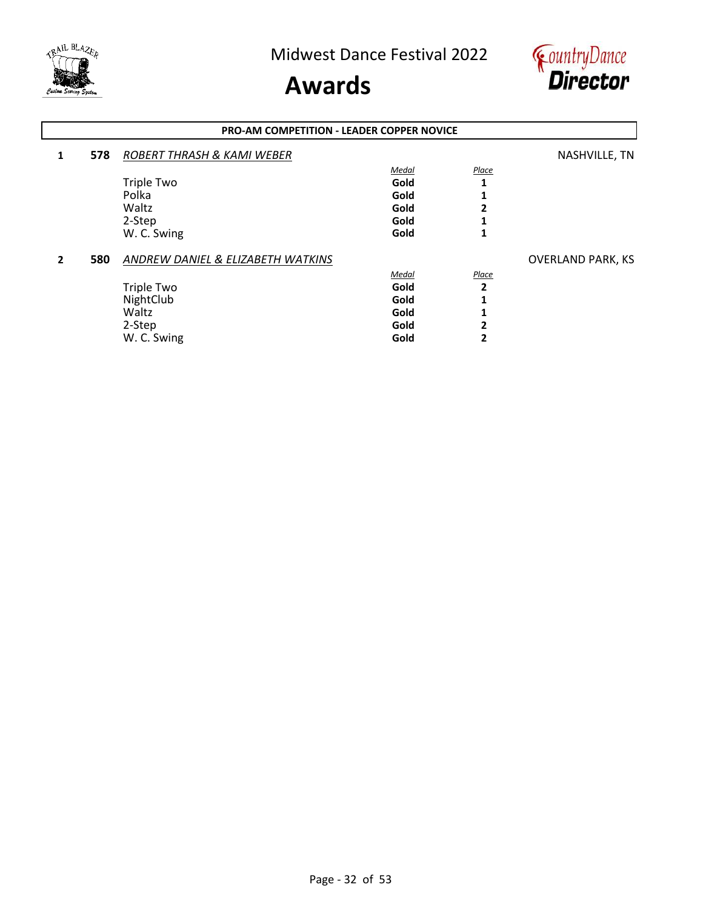



#### **1 578** *ROBERT THRASH & KAMI WEBER* NASHVILLE, TN *Medal Place* Triple Two **Gold** 1<br>Polka **1** Polka **Gold 1** Waltz **Gold 2** 2-Step **Gold 1** W. C. Swing **1 Gold 1 2 580** *ANDREW DANIEL & ELIZABETH WATKINS* **CONSERVANT AND PARK, KS** *Medal Place* Triple Two **Gold 2** NightClub **Gold 1** Waltz **Gold 1** 2-Step **Gold 2** W. C. Swing **Gold** 2 **PRO-AM COMPETITION - LEADER COPPER NOVICE**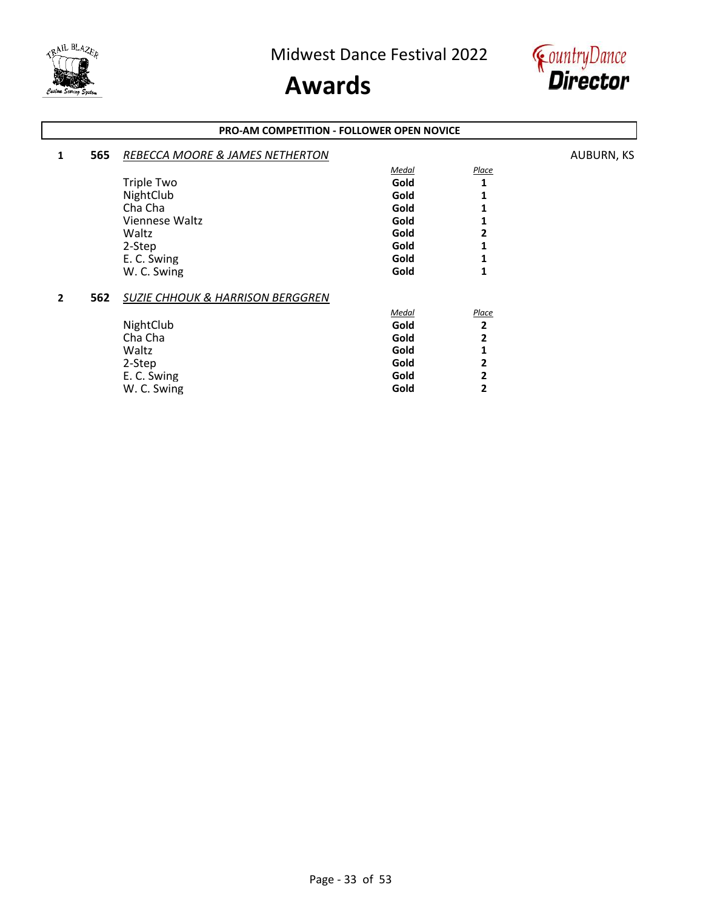



#### **PRO-AM COMPETITION - FOLLOWER OPEN NOVICE**

| 1 | 565 | REBECCA MOORE & JAMES NETHERTON             |       |       | <b>AUBURN, KS</b> |
|---|-----|---------------------------------------------|-------|-------|-------------------|
|   |     |                                             | Medal | Place |                   |
|   |     | <b>Triple Two</b>                           | Gold  | 1     |                   |
|   |     | NightClub                                   | Gold  |       |                   |
|   |     | Cha Cha                                     | Gold  |       |                   |
|   |     | Viennese Waltz                              | Gold  |       |                   |
|   |     | Waltz                                       | Gold  | 2     |                   |
|   |     | 2-Step                                      | Gold  |       |                   |
|   |     | E. C. Swing                                 | Gold  |       |                   |
|   |     | W. C. Swing                                 | Gold  | 1     |                   |
| 2 | 562 | <b>SUZIE CHHOUK &amp; HARRISON BERGGREN</b> |       |       |                   |
|   |     |                                             | Medal | Place |                   |
|   |     | NightClub                                   | Gold  | 2     |                   |
|   |     | Cha Cha                                     | Gold  | 2     |                   |
|   |     | Waltz                                       | Gold  | 1     |                   |
|   |     | 2-Step                                      | Gold  | 2     |                   |
|   |     | E. C. Swing                                 | Gold  | 2     |                   |
|   |     | W. C. Swing                                 | Gold  | 2     |                   |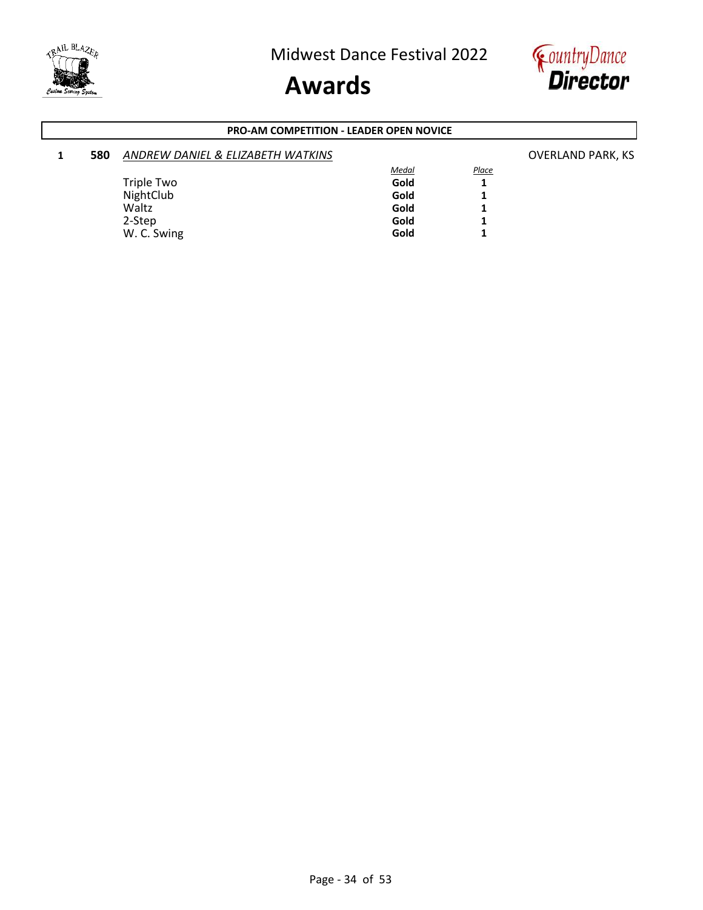



#### **PRO-AM COMPETITION - LEADER OPEN NOVICE**

| 580 | ANDREW DANIEL & ELIZABETH WATKINS |              |              | <b>OVERLAND PARK, KS</b> |
|-----|-----------------------------------|--------------|--------------|--------------------------|
|     |                                   | <b>Medal</b> | <b>Place</b> |                          |
|     | Triple Two                        | Gold         |              |                          |
|     | NightClub                         | Gold         |              |                          |
|     | Waltz                             | Gold         |              |                          |
|     | 2-Step                            | Gold         |              |                          |
|     | W. C. Swing                       | Gold         |              |                          |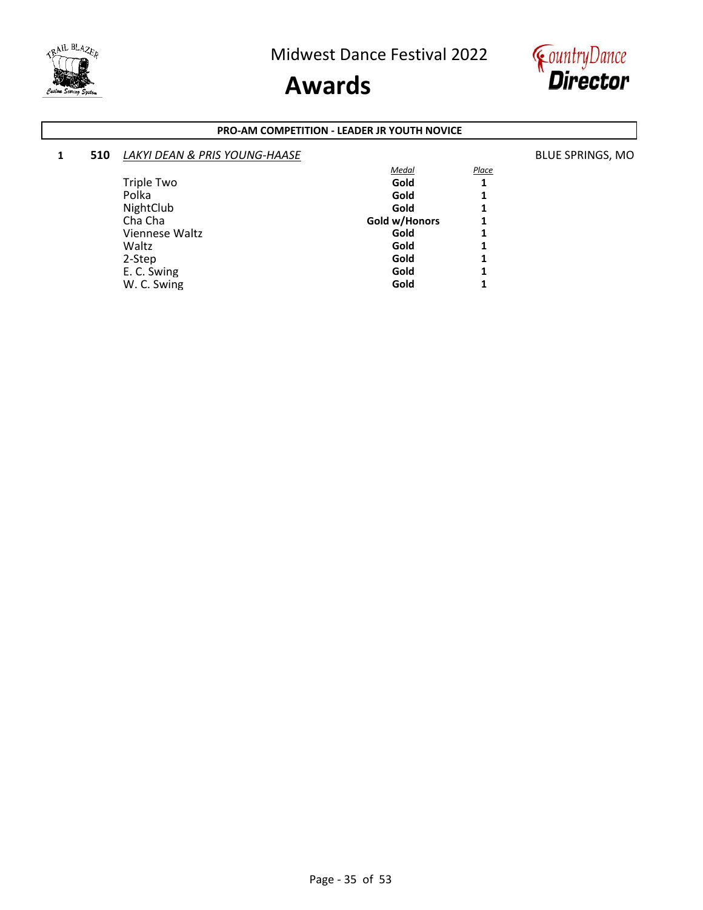

W. C. Swing

### **Awards**



#### **PRO-AM COMPETITION - LEADER JR YOUTH NOVICE**

#### **1 <b>510** *LAKYI DEAN & PRIS YOUNG-HAASE* **BLUE SPRINGS, MO BLUE SPRINGS, MO** *Medal Place* Triple Two **1**<br>Polka **1**<br>**1** Polka **Gold 1** NightClub **Gold** 1<br>
Cha Cha **1 Gold Cha 1 Gold 1 Gold 1 Gold 1 Cha 1 1** Gold w/Honors **1**<br>Gold **1** Viennese Waltz **Collaboration Collaboration Collaboration Collaboration Collaboration Collaboration Collaboration Collaboration Collaboration Collaboration Collaboration Collaboration Collaboration Collaboration Collaborat** Waltz **Gold 1**

2-Step **Gold 1** E. C. Swing **Gold** 1 **C.** Swing **Gold** 1 **C.** Swing **Gold** 1 **C.** Gold 1 **1**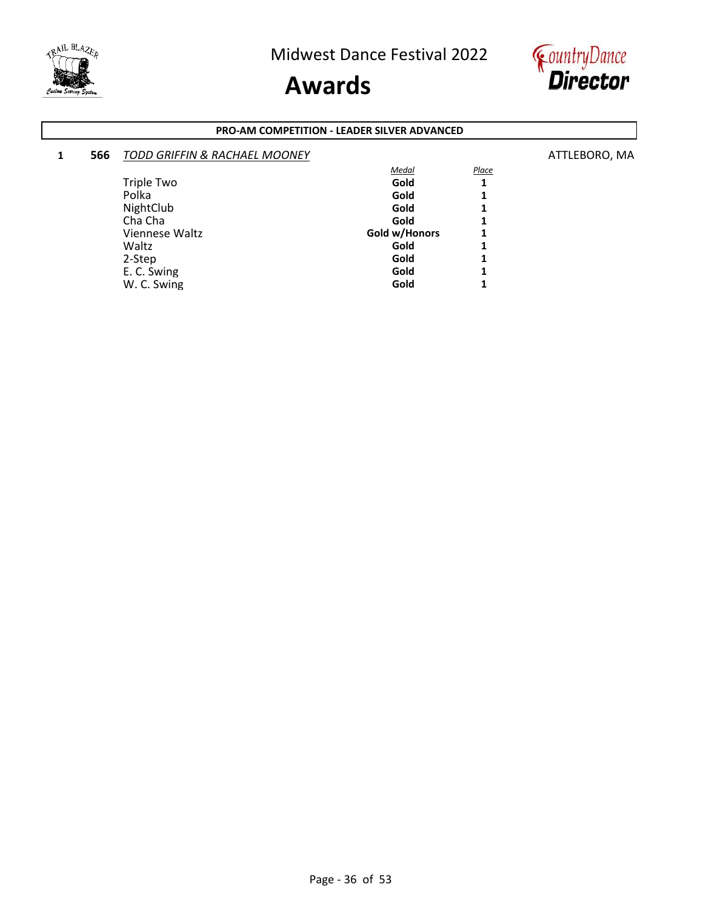

W. C. Swing

### **Awards**



#### **PRO-AM COMPETITION - LEADER SILVER ADVANCED**

#### **1 566** *TODD GRIFFIN & RACHAEL MOONEY* ATTLEBORO, MA *Medal Place* Triple Two **1**<br>Polka **1**<br>**1** Polka **Gold 1** NightClub **1**<br>
Cha Cha **1**<br>
Cha Cha **1** Cha Cha **Cha Cha** Cha **1**<br>
Viennese Waltz **1 Gold w/Honors** 1 Viennese Waltz **Gold w/Honors** 1<br>
Waltz **Gold 1** Waltz **Gold 1** 2-Step **Gold 1**

E. C. Swing **Gold** 1 **C.** Swing **Gold** 1 **C.** Swing **Gold** 1 **C.** Gold 1 **1**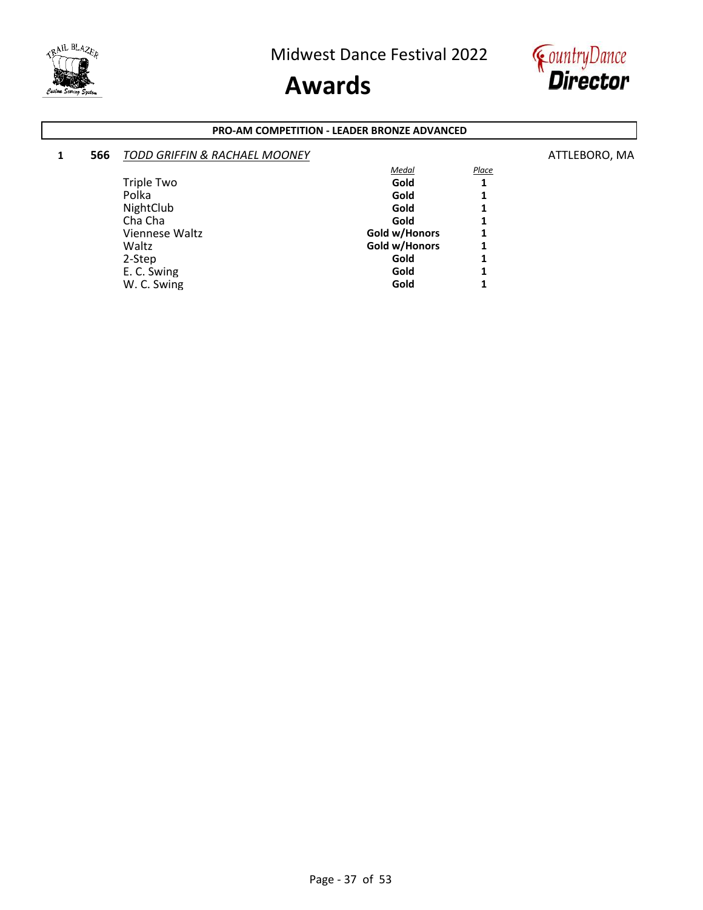



#### **PRO-AM COMPETITION - LEADER BRONZE ADVANCED**

### **1 566** *TODD GRIFFIN & RACHAEL MOONEY* ATTLEBORO, MA *Medal Place*

| <b>Triple Two</b> | Gold          |   |
|-------------------|---------------|---|
| Polka             | Gold          | 1 |
| NightClub         | Gold          | 1 |
| Cha Cha           | Gold          | 1 |
| Viennese Waltz    | Gold w/Honors | 1 |
| Waltz             | Gold w/Honors | 1 |
| 2-Step            | Gold          | 1 |
| E. C. Swing       | Gold          | 1 |
| W. C. Swing       | Gold          | 1 |
|                   |               |   |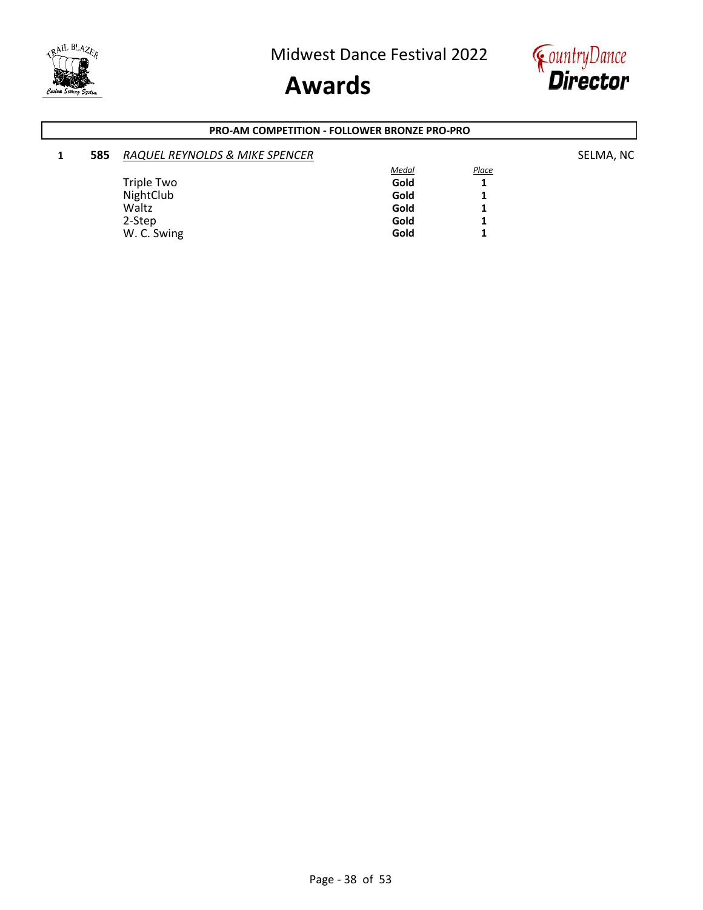



#### **PRO-AM COMPETITION - FOLLOWER BRONZE PRO-PRO**

| 585 | RAQUEL REYNOLDS & MIKE SPENCER |              |              | SELMA, NC |
|-----|--------------------------------|--------------|--------------|-----------|
|     |                                | <b>Medal</b> | <b>Place</b> |           |
|     | Triple Two                     | Gold         | ≖            |           |
|     | NightClub                      | Gold         |              |           |
|     | Waltz                          | Gold         |              |           |
|     | 2-Step                         | Gold         |              |           |
|     | W. C. Swing                    | Gold         |              |           |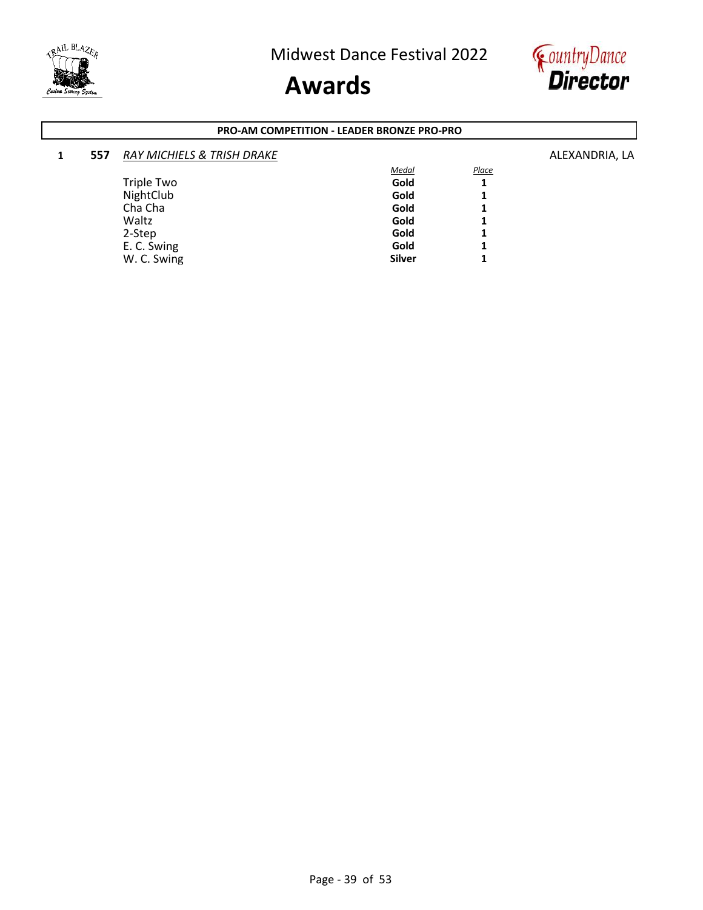



#### **PRO-AM COMPETITION - LEADER BRONZE PRO-PRO**

| 1 | 557 | <b>RAY MICHIELS &amp; TRISH DRAKE</b> |               |              | ALEXANDRIA, LA |
|---|-----|---------------------------------------|---------------|--------------|----------------|
|   |     |                                       | <b>Medal</b>  | <b>Place</b> |                |
|   |     | Triple Two                            | Gold          | ┻            |                |
|   |     | NightClub                             | Gold          |              |                |
|   |     | Cha Cha                               | Gold          | 1            |                |
|   |     | Waltz                                 | Gold          |              |                |
|   |     | 2-Step                                | Gold          | 1            |                |
|   |     | E. C. Swing                           | Gold          | 1            |                |
|   |     | W. C. Swing                           | <b>Silver</b> |              |                |
|   |     |                                       |               |              |                |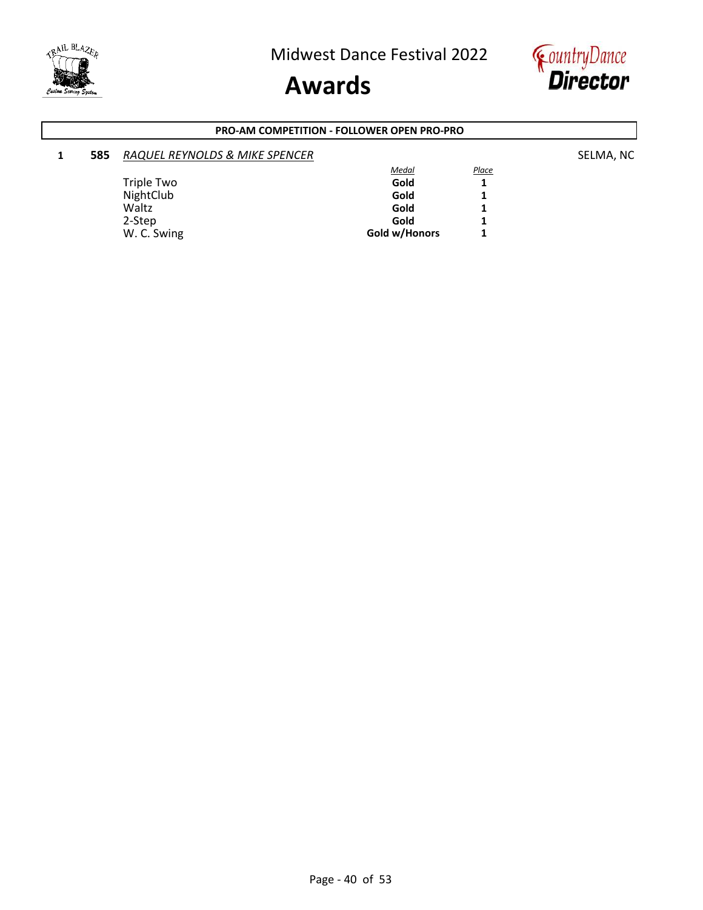



#### **PRO-AM COMPETITION - FOLLOWER OPEN PRO-PRO**

#### **1 585** *RAQUEL REYNOLDS & MIKE SPENCER* **EXAMPLE ASSESSED ASSESSED ASSESSED ASSESSED ASSESSED ASSESSED ASSESSED ASSESSED ASSESSED ASSESSED ASSESSED ASSESSED ASSESSED ASSESSED ASSESSED ASSESSED ASSESSED ASSESSED ASSESSED A** *Medal Place* Triple Two **Gold** 1<br>
NightClub 1 NightClub **Gold 1** Waltz **Gold 1** 2-Step **Gold 1**

W. C. Swing **Gold w/Honors 1**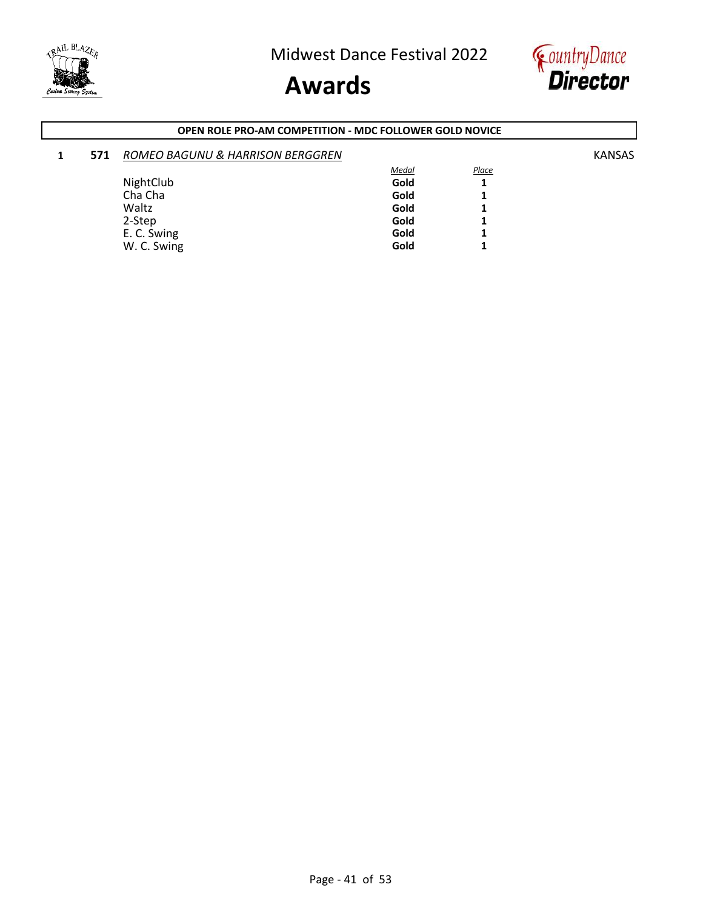



#### **OPEN ROLE PRO-AM COMPETITION - MDC FOLLOWER GOLD NOVICE**

| 1 | 571 | ROMEO BAGUNU & HARRISON BERGGREN |       |       | <b>KANSAS</b> |
|---|-----|----------------------------------|-------|-------|---------------|
|   |     |                                  | Medal | Place |               |
|   |     | NightClub                        | Gold  |       |               |
|   |     | Cha Cha                          | Gold  |       |               |
|   |     | Waltz                            | Gold  |       |               |
|   |     | 2-Step                           | Gold  |       |               |
|   |     | E. C. Swing                      | Gold  |       |               |
|   |     | W. C. Swing                      | Gold  |       |               |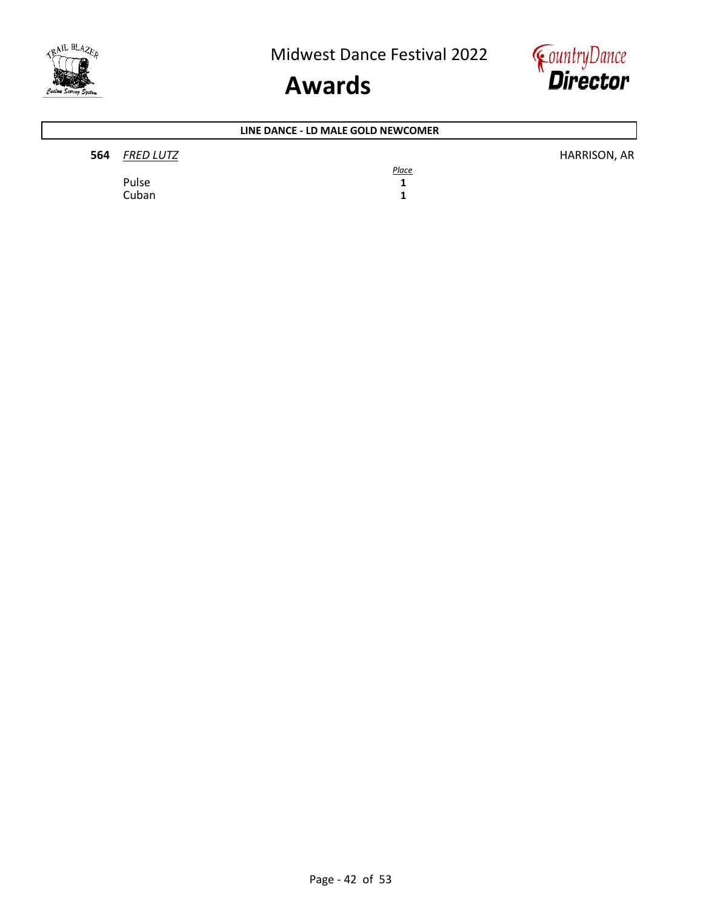



### **564** *FRED LUTZ* HARRISON, AR *Place* Pulse 1<br>Cuban 1 Cuban **1 LINE DANCE - LD MALE GOLD NEWCOMER**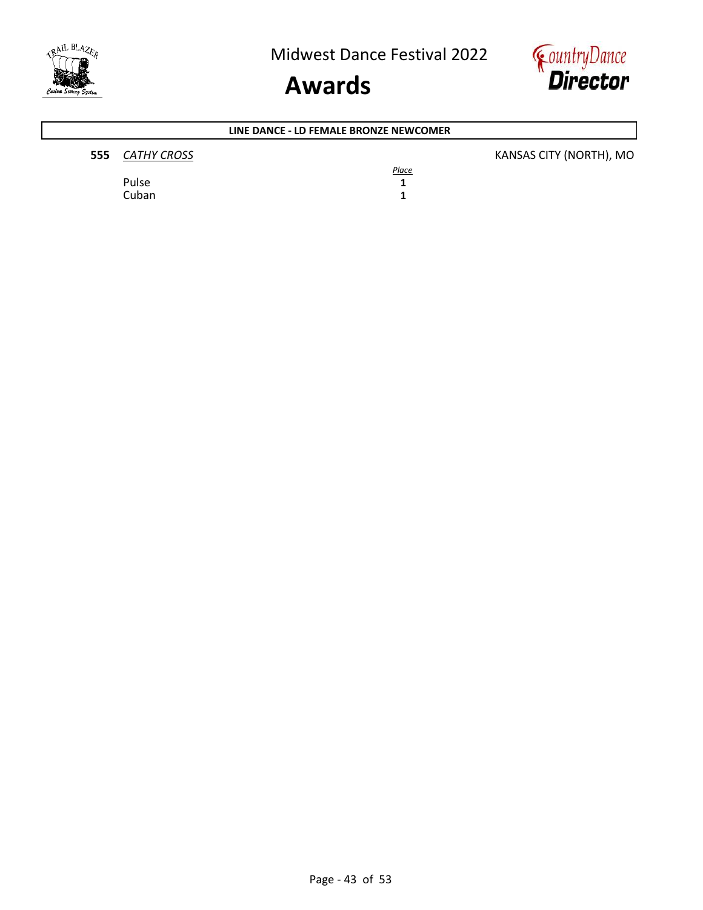



### **555** *CATHY CROSS* KANSAS CITY (NORTH), MO *Place* Pulse **1** Cuban **1 LINE DANCE - LD FEMALE BRONZE NEWCOMER**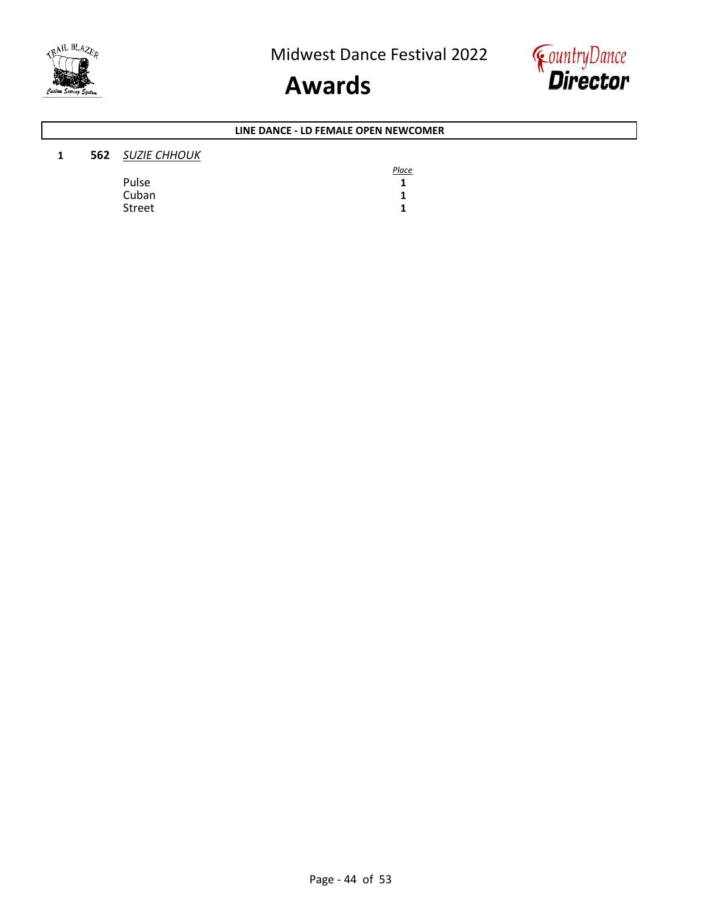



#### **LINE DANCE - LD FEMALE OPEN NEWCOMER**

| 1 | <b>562</b> SUZIE CHHOUK |              |
|---|-------------------------|--------------|
|   |                         | <b>Place</b> |
|   | Pulse                   |              |
|   | Cuban                   |              |
|   | Street                  |              |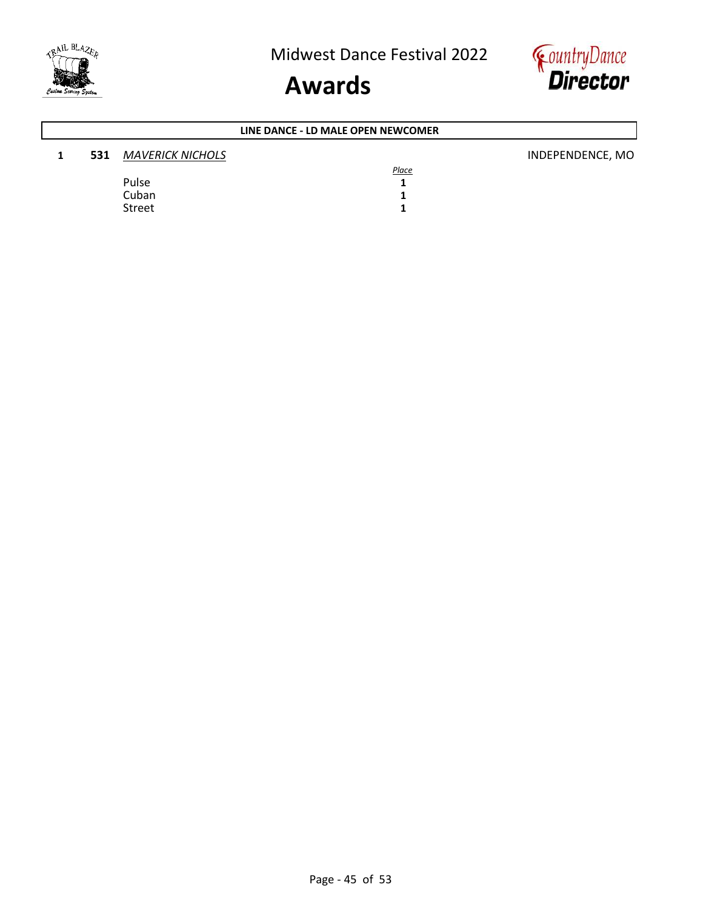



### **1 531** *MAVERICK NICHOLS* **INDEPENDENCE, MO** *Place* Pulse **1** Cuban **1**<br>Street **1** Street **1 LINE DANCE - LD MALE OPEN NEWCOMER**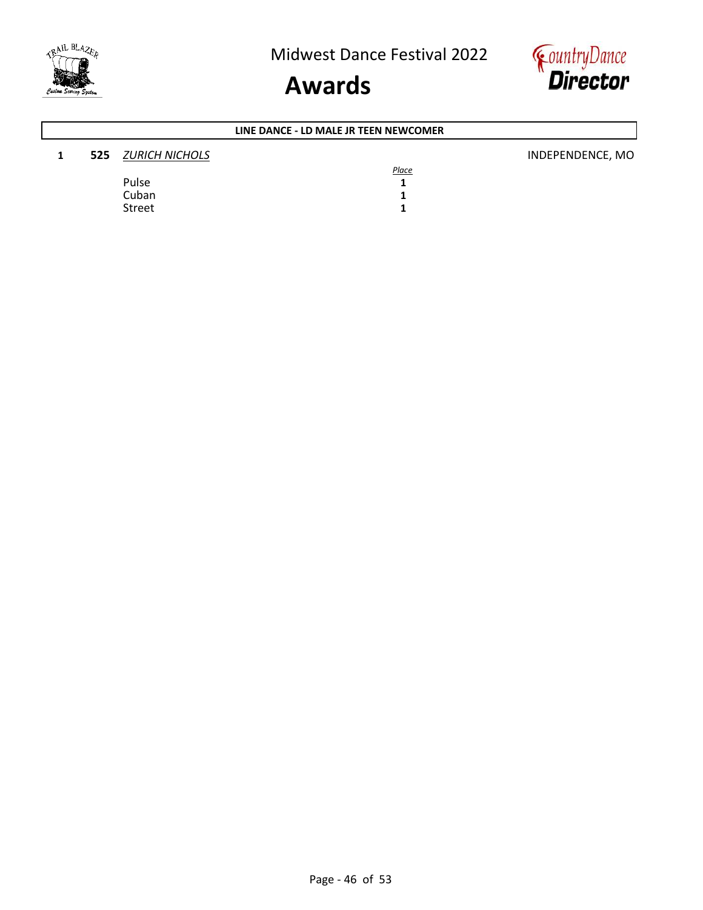



### **1 525** *ZURICH NICHOLS* INDEPENDENCE, MO *Place* Pulse 1<br>Cuban 1 Cuban **1**<br>Street **1** Street **1 LINE DANCE - LD MALE JR TEEN NEWCOMER**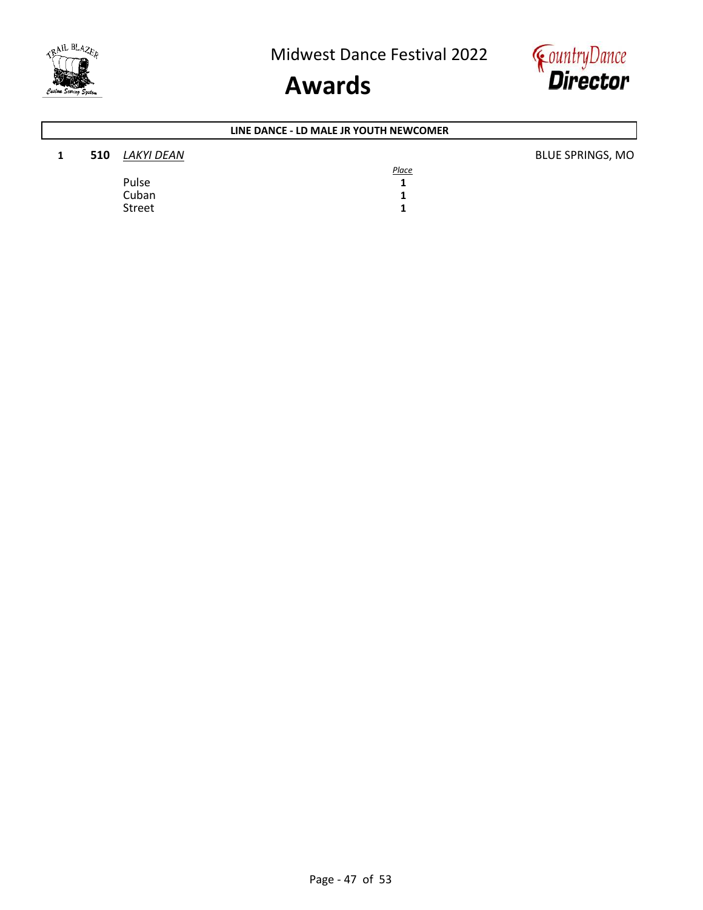



### **1 510** *LAKYI DEAN* **BLUE SPRINGS, MO** *Place* Pulse 1<br>Cuban 1 Cuban **1**<br>Street **1** Street **1 LINE DANCE - LD MALE JR YOUTH NEWCOMER**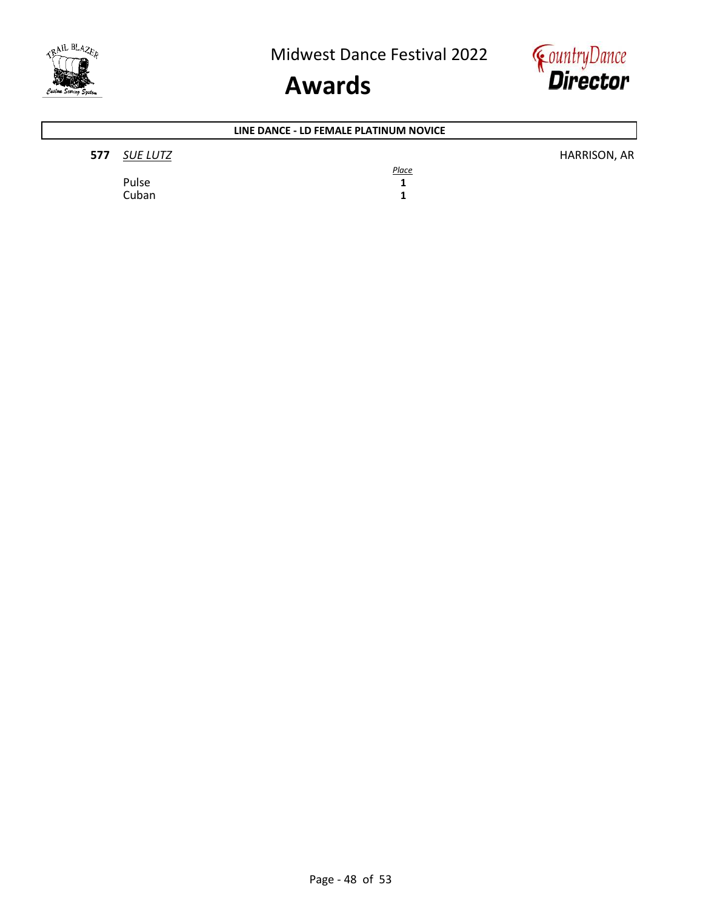



### **577** *SUE LUTZ* HARRISON, AR *Place* Pulse 1<br>Cuban 1 Cuban **1 LINE DANCE - LD FEMALE PLATINUM NOVICE**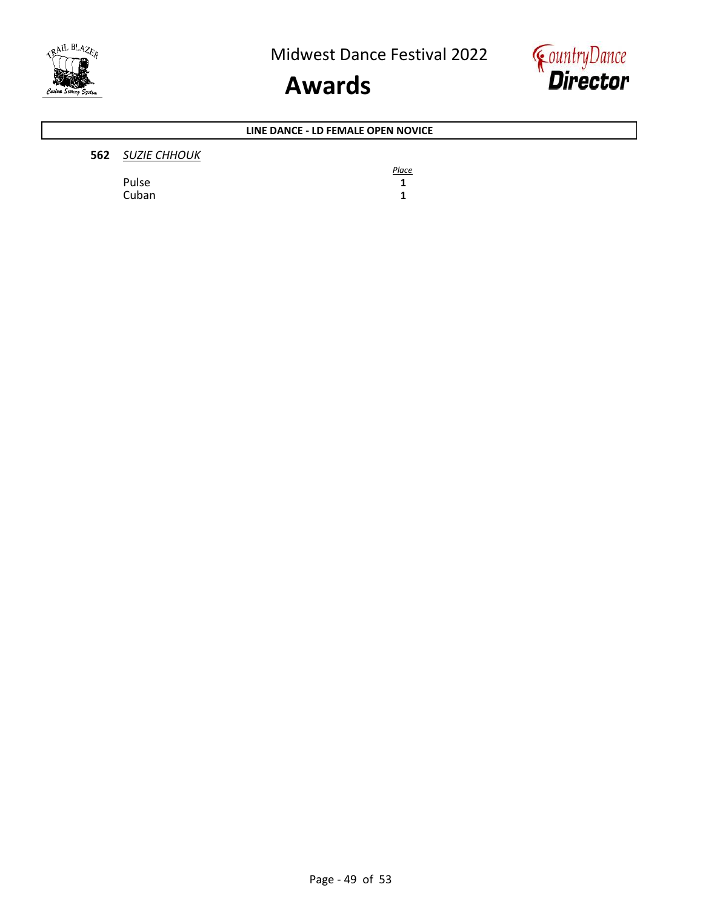



#### **LINE DANCE - LD FEMALE OPEN NOVICE**

#### **562** *SUZIE CHHOUK*

Pulse 1<br>Cuban 1 Cuban **1**

*Place*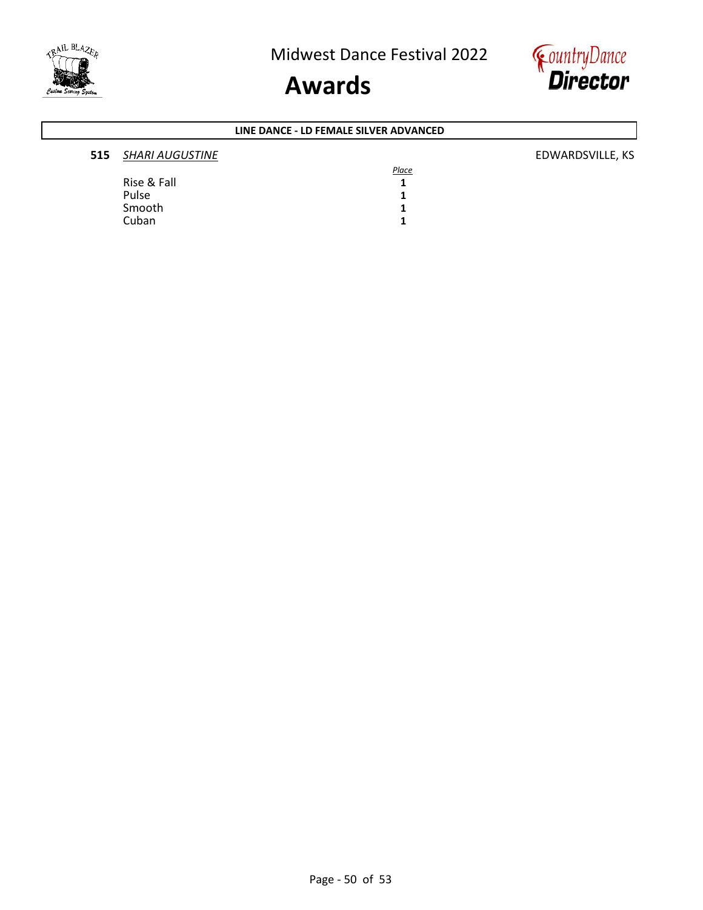



#### **LINE DANCE - LD FEMALE SILVER ADVANCED**

| 515 | <b>SHARI AUGUSTINE</b> | EDWARDSVILLE, KS |
|-----|------------------------|------------------|
|     |                        | Place            |
|     | Rise & Fall            |                  |
|     | Pulse                  |                  |
|     | Smooth                 |                  |
|     | Cuban                  |                  |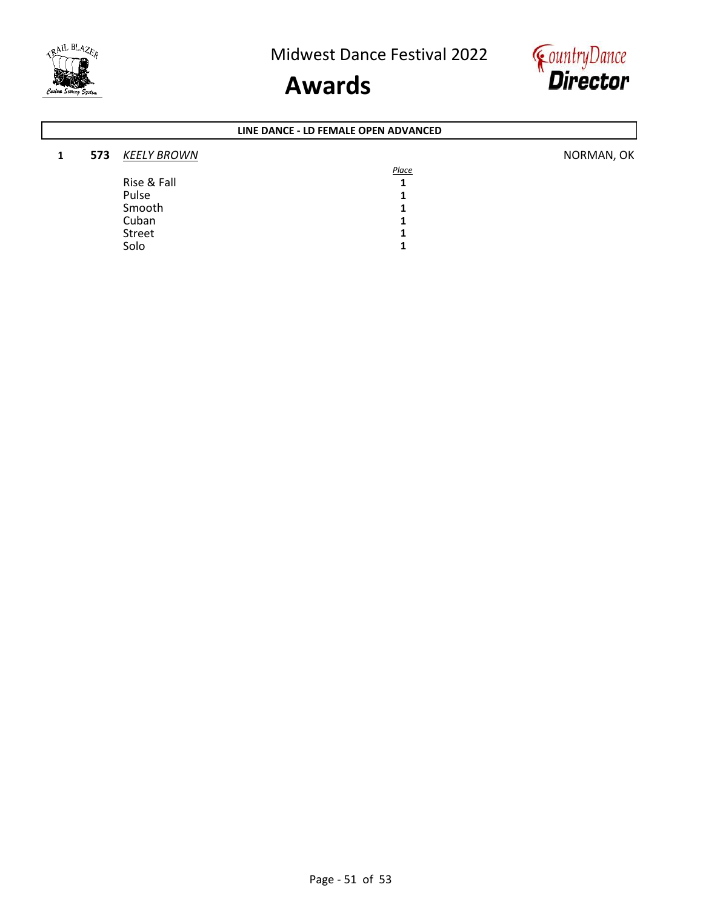



### **1 573** <u>*KEELY BROWN</del></u> NORMAN, OK</u> Place* Rise & Fall **1** Pulse 1<br>Smooth 1 Smooth 1<br>Cuban 1 Cuban **1**<br>Street **1** Street 1<br>Solo 1 **LINE DANCE - LD FEMALE OPEN ADVANCED**

Solo **1**

Page - 51 of 53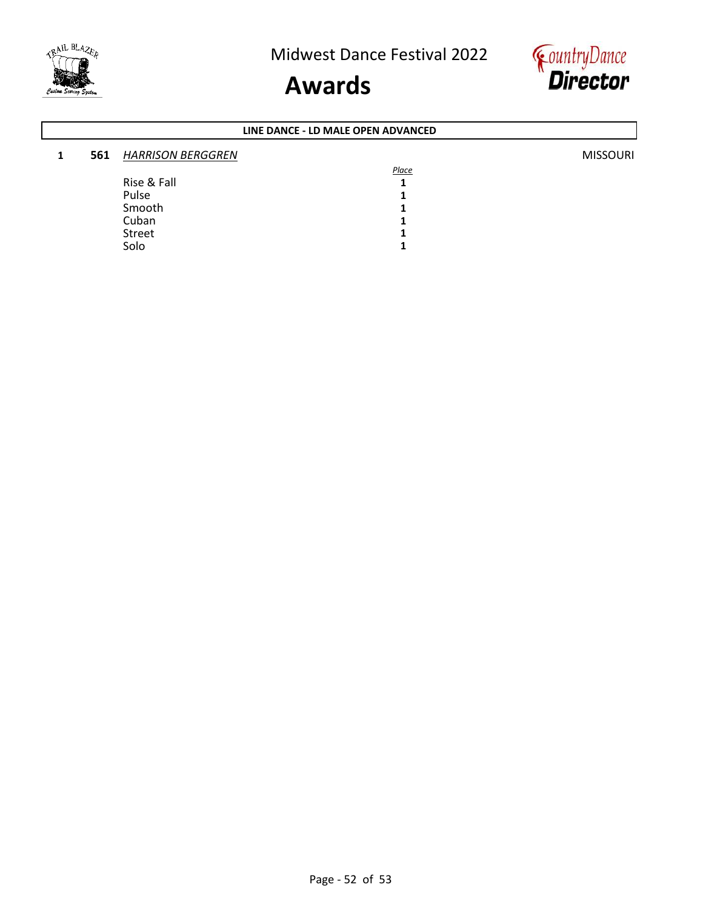



#### **1 561** *HARRISON BERGGREN* MISSOURI *Place* Rise & Fall **1** Pulse 1<br>Smooth 1 Smooth 1<br>Cuban 1 Cuban **1**<br>Street **1** Street 1<br>Solo 1 Solo **1 LINE DANCE - LD MALE OPEN ADVANCED**